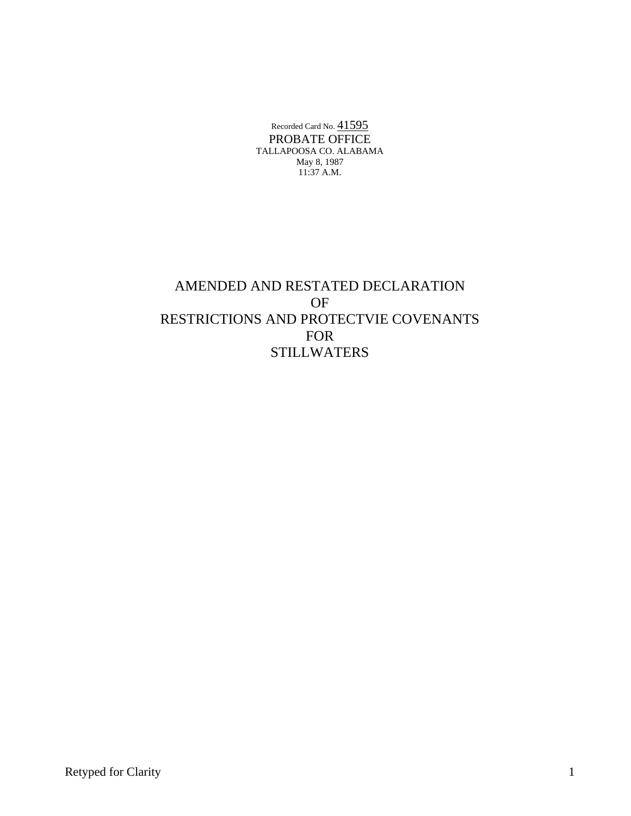Recorded Card No.  $41595$ PROBATE OFFICE TALLAPOOSA CO. ALABAMA May 8, 1987 11:37 A.M.

AMENDED AND RESTATED DECLARATION OF RESTRICTIONS AND PROTECTVIE COVENANTS FOR **STILLWATERS**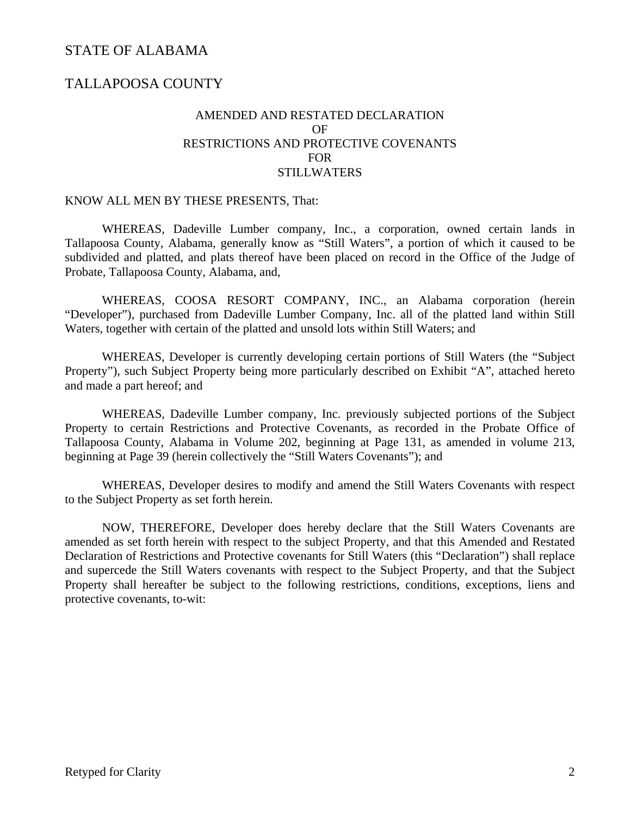# STATE OF ALABAMA

# TALLAPOOSA COUNTY

### AMENDED AND RESTATED DECLARATION OF RESTRICTIONS AND PROTECTIVE COVENANTS FOR STILLWATERS

# KNOW ALL MEN BY THESE PRESENTS, That:

WHEREAS, Dadeville Lumber company, Inc., a corporation, owned certain lands in Tallapoosa County, Alabama, generally know as "Still Waters", a portion of which it caused to be subdivided and platted, and plats thereof have been placed on record in the Office of the Judge of Probate, Tallapoosa County, Alabama, and,

WHEREAS, COOSA RESORT COMPANY, INC., an Alabama corporation (herein "Developer"), purchased from Dadeville Lumber Company, Inc. all of the platted land within Still Waters, together with certain of the platted and unsold lots within Still Waters; and

WHEREAS, Developer is currently developing certain portions of Still Waters (the "Subject Property"), such Subject Property being more particularly described on Exhibit "A", attached hereto and made a part hereof; and

WHEREAS, Dadeville Lumber company, Inc. previously subjected portions of the Subject Property to certain Restrictions and Protective Covenants, as recorded in the Probate Office of Tallapoosa County, Alabama in Volume 202, beginning at Page 131, as amended in volume 213, beginning at Page 39 (herein collectively the "Still Waters Covenants"); and

WHEREAS, Developer desires to modify and amend the Still Waters Covenants with respect to the Subject Property as set forth herein.

NOW, THEREFORE, Developer does hereby declare that the Still Waters Covenants are amended as set forth herein with respect to the subject Property, and that this Amended and Restated Declaration of Restrictions and Protective covenants for Still Waters (this "Declaration") shall replace and supercede the Still Waters covenants with respect to the Subject Property, and that the Subject Property shall hereafter be subject to the following restrictions, conditions, exceptions, liens and protective covenants, to-wit: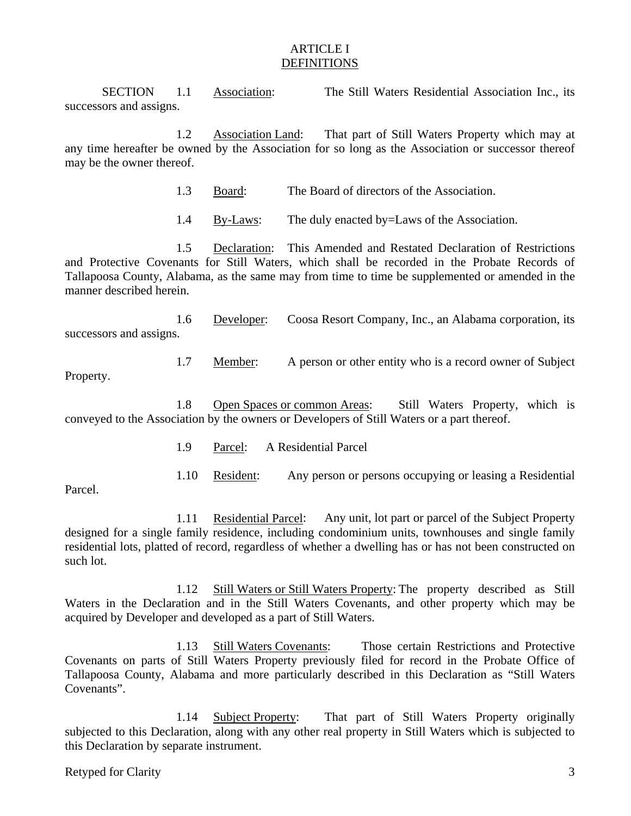#### ARTICLE I DEFINITIONS

SECTION 1.1 Association: The Still Waters Residential Association Inc., its successors and assigns.

1.2 Association Land: That part of Still Waters Property which may at any time hereafter be owned by the Association for so long as the Association or successor thereof may be the owner thereof.

1.3 Board: The Board of directors of the Association.

1.4 By-Laws: The duly enacted by=Laws of the Association.

1.5 Declaration: This Amended and Restated Declaration of Restrictions and Protective Covenants for Still Waters, which shall be recorded in the Probate Records of Tallapoosa County, Alabama, as the same may from time to time be supplemented or amended in the manner described herein.

1.6 Developer: Coosa Resort Company, Inc., an Alabama corporation, its successors and assigns.

1.7 Member: A person or other entity who is a record owner of Subject

Property.

1.8 Open Spaces or common Areas: Still Waters Property, which is conveyed to the Association by the owners or Developers of Still Waters or a part thereof.

1.9 Parcel: A Residential Parcel

1.10 Resident: Any person or persons occupying or leasing a Residential

Parcel.

1.11 Residential Parcel: Any unit, lot part or parcel of the Subject Property designed for a single family residence, including condominium units, townhouses and single family residential lots, platted of record, regardless of whether a dwelling has or has not been constructed on such lot.

1.12 Still Waters or Still Waters Property: The property described as Still Waters in the Declaration and in the Still Waters Covenants, and other property which may be acquired by Developer and developed as a part of Still Waters.

1.13 Still Waters Covenants: Those certain Restrictions and Protective Covenants on parts of Still Waters Property previously filed for record in the Probate Office of Tallapoosa County, Alabama and more particularly described in this Declaration as "Still Waters Covenants".

1.14 Subject Property: That part of Still Waters Property originally subjected to this Declaration, along with any other real property in Still Waters which is subjected to this Declaration by separate instrument.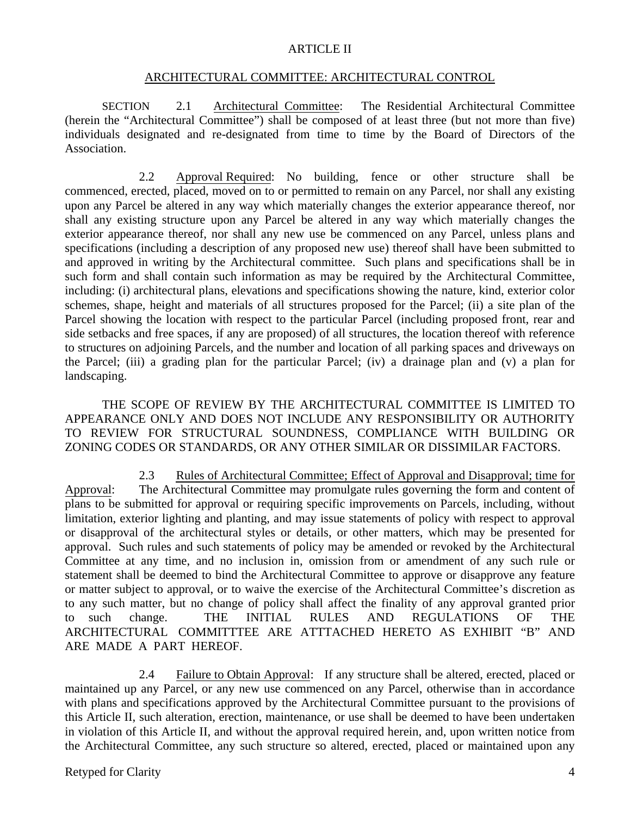#### ARTICLE II

#### ARCHITECTURAL COMMITTEE: ARCHITECTURAL CONTROL

SECTION 2.1 Architectural Committee: The Residential Architectural Committee (herein the "Architectural Committee") shall be composed of at least three (but not more than five) individuals designated and re-designated from time to time by the Board of Directors of the Association.

2.2 Approval Required: No building, fence or other structure shall be commenced, erected, placed, moved on to or permitted to remain on any Parcel, nor shall any existing upon any Parcel be altered in any way which materially changes the exterior appearance thereof, nor shall any existing structure upon any Parcel be altered in any way which materially changes the exterior appearance thereof, nor shall any new use be commenced on any Parcel, unless plans and specifications (including a description of any proposed new use) thereof shall have been submitted to and approved in writing by the Architectural committee. Such plans and specifications shall be in such form and shall contain such information as may be required by the Architectural Committee, including: (i) architectural plans, elevations and specifications showing the nature, kind, exterior color schemes, shape, height and materials of all structures proposed for the Parcel; (ii) a site plan of the Parcel showing the location with respect to the particular Parcel (including proposed front, rear and side setbacks and free spaces, if any are proposed) of all structures, the location thereof with reference to structures on adjoining Parcels, and the number and location of all parking spaces and driveways on the Parcel; (iii) a grading plan for the particular Parcel; (iv) a drainage plan and (v) a plan for landscaping.

THE SCOPE OF REVIEW BY THE ARCHITECTURAL COMMITTEE IS LIMITED TO APPEARANCE ONLY AND DOES NOT INCLUDE ANY RESPONSIBILITY OR AUTHORITY TO REVIEW FOR STRUCTURAL SOUNDNESS, COMPLIANCE WITH BUILDING OR ZONING CODES OR STANDARDS, OR ANY OTHER SIMILAR OR DISSIMILAR FACTORS.

2.3 Rules of Architectural Committee; Effect of Approval and Disapproval; time for Approval: The Architectural Committee may promulgate rules governing the form and content of plans to be submitted for approval or requiring specific improvements on Parcels, including, without limitation, exterior lighting and planting, and may issue statements of policy with respect to approval or disapproval of the architectural styles or details, or other matters, which may be presented for approval. Such rules and such statements of policy may be amended or revoked by the Architectural Committee at any time, and no inclusion in, omission from or amendment of any such rule or statement shall be deemed to bind the Architectural Committee to approve or disapprove any feature or matter subject to approval, or to waive the exercise of the Architectural Committee's discretion as to any such matter, but no change of policy shall affect the finality of any approval granted prior to such change. THE INITIAL RULES AND REGULATIONS OF THE ARCHITECTURAL COMMITTTEE ARE ATTTACHED HERETO AS EXHIBIT "B" AND ARE MADE A PART HEREOF.

2.4 Failure to Obtain Approval: If any structure shall be altered, erected, placed or maintained up any Parcel, or any new use commenced on any Parcel, otherwise than in accordance with plans and specifications approved by the Architectural Committee pursuant to the provisions of this Article II, such alteration, erection, maintenance, or use shall be deemed to have been undertaken in violation of this Article II, and without the approval required herein, and, upon written notice from the Architectural Committee, any such structure so altered, erected, placed or maintained upon any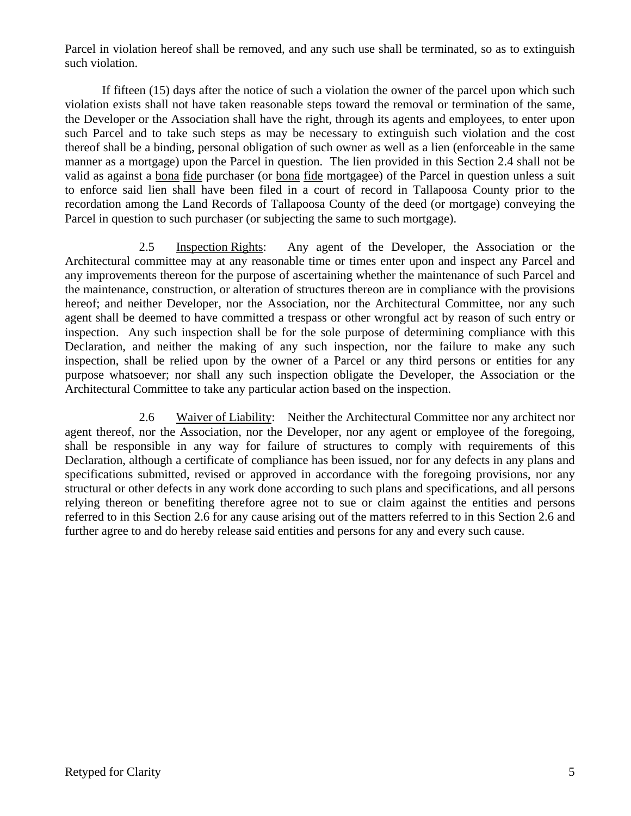Parcel in violation hereof shall be removed, and any such use shall be terminated, so as to extinguish such violation.

If fifteen (15) days after the notice of such a violation the owner of the parcel upon which such violation exists shall not have taken reasonable steps toward the removal or termination of the same, the Developer or the Association shall have the right, through its agents and employees, to enter upon such Parcel and to take such steps as may be necessary to extinguish such violation and the cost thereof shall be a binding, personal obligation of such owner as well as a lien (enforceable in the same manner as a mortgage) upon the Parcel in question. The lien provided in this Section 2.4 shall not be valid as against a bona fide purchaser (or bona fide mortgagee) of the Parcel in question unless a suit to enforce said lien shall have been filed in a court of record in Tallapoosa County prior to the recordation among the Land Records of Tallapoosa County of the deed (or mortgage) conveying the Parcel in question to such purchaser (or subjecting the same to such mortgage).

2.5 Inspection Rights: Any agent of the Developer, the Association or the Architectural committee may at any reasonable time or times enter upon and inspect any Parcel and any improvements thereon for the purpose of ascertaining whether the maintenance of such Parcel and the maintenance, construction, or alteration of structures thereon are in compliance with the provisions hereof; and neither Developer, nor the Association, nor the Architectural Committee, nor any such agent shall be deemed to have committed a trespass or other wrongful act by reason of such entry or inspection. Any such inspection shall be for the sole purpose of determining compliance with this Declaration, and neither the making of any such inspection, nor the failure to make any such inspection, shall be relied upon by the owner of a Parcel or any third persons or entities for any purpose whatsoever; nor shall any such inspection obligate the Developer, the Association or the Architectural Committee to take any particular action based on the inspection.

2.6 Waiver of Liability: Neither the Architectural Committee nor any architect nor agent thereof, nor the Association, nor the Developer, nor any agent or employee of the foregoing, shall be responsible in any way for failure of structures to comply with requirements of this Declaration, although a certificate of compliance has been issued, nor for any defects in any plans and specifications submitted, revised or approved in accordance with the foregoing provisions, nor any structural or other defects in any work done according to such plans and specifications, and all persons relying thereon or benefiting therefore agree not to sue or claim against the entities and persons referred to in this Section 2.6 for any cause arising out of the matters referred to in this Section 2.6 and further agree to and do hereby release said entities and persons for any and every such cause.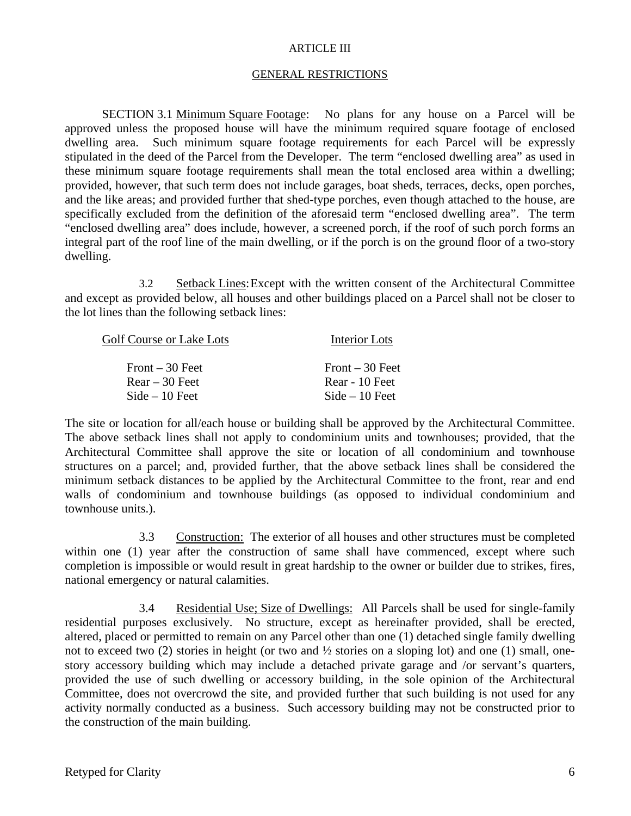#### ARTICLE III

#### GENERAL RESTRICTIONS

SECTION 3.1 Minimum Square Footage: No plans for any house on a Parcel will be approved unless the proposed house will have the minimum required square footage of enclosed dwelling area. Such minimum square footage requirements for each Parcel will be expressly stipulated in the deed of the Parcel from the Developer. The term "enclosed dwelling area" as used in these minimum square footage requirements shall mean the total enclosed area within a dwelling; provided, however, that such term does not include garages, boat sheds, terraces, decks, open porches, and the like areas; and provided further that shed-type porches, even though attached to the house, are specifically excluded from the definition of the aforesaid term "enclosed dwelling area". The term "enclosed dwelling area" does include, however, a screened porch, if the roof of such porch forms an integral part of the roof line of the main dwelling, or if the porch is on the ground floor of a two-story dwelling.

3.2 Setback Lines: Except with the written consent of the Architectural Committee and except as provided below, all houses and other buildings placed on a Parcel shall not be closer to the lot lines than the following setback lines:

| <b>Golf Course or Lake Lots</b> | Interior Lots    |
|---------------------------------|------------------|
| Front $-30$ Feet                | Front $-30$ Feet |
| $Rear - 30$ Feet                | Rear - 10 Feet   |
| $Side - 10$ Feet                | $Side - 10$ Feet |

The site or location for all/each house or building shall be approved by the Architectural Committee. The above setback lines shall not apply to condominium units and townhouses; provided, that the Architectural Committee shall approve the site or location of all condominium and townhouse structures on a parcel; and, provided further, that the above setback lines shall be considered the minimum setback distances to be applied by the Architectural Committee to the front, rear and end walls of condominium and townhouse buildings (as opposed to individual condominium and townhouse units.).

3.3 Construction: The exterior of all houses and other structures must be completed within one (1) year after the construction of same shall have commenced, except where such completion is impossible or would result in great hardship to the owner or builder due to strikes, fires, national emergency or natural calamities.

3.4 Residential Use; Size of Dwellings: All Parcels shall be used for single-family residential purposes exclusively. No structure, except as hereinafter provided, shall be erected, altered, placed or permitted to remain on any Parcel other than one (1) detached single family dwelling not to exceed two (2) stories in height (or two and  $\frac{1}{2}$  stories on a sloping lot) and one (1) small, onestory accessory building which may include a detached private garage and /or servant's quarters, provided the use of such dwelling or accessory building, in the sole opinion of the Architectural Committee, does not overcrowd the site, and provided further that such building is not used for any activity normally conducted as a business. Such accessory building may not be constructed prior to the construction of the main building.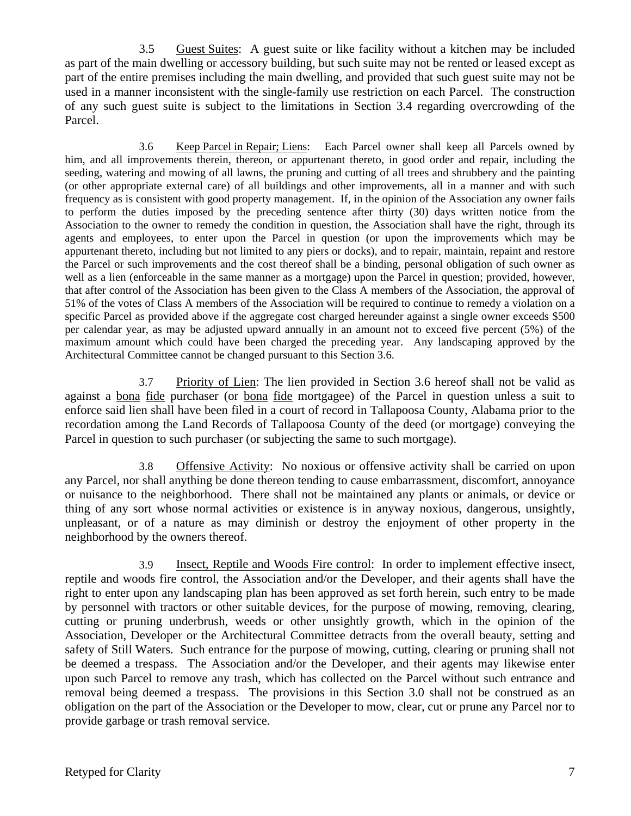3.5 Guest Suites: A guest suite or like facility without a kitchen may be included as part of the main dwelling or accessory building, but such suite may not be rented or leased except as part of the entire premises including the main dwelling, and provided that such guest suite may not be used in a manner inconsistent with the single-family use restriction on each Parcel. The construction of any such guest suite is subject to the limitations in Section 3.4 regarding overcrowding of the Parcel.

3.6 Keep Parcel in Repair; Liens: Each Parcel owner shall keep all Parcels owned by him, and all improvements therein, thereon, or appurtenant thereto, in good order and repair, including the seeding, watering and mowing of all lawns, the pruning and cutting of all trees and shrubbery and the painting (or other appropriate external care) of all buildings and other improvements, all in a manner and with such frequency as is consistent with good property management. If, in the opinion of the Association any owner fails to perform the duties imposed by the preceding sentence after thirty (30) days written notice from the Association to the owner to remedy the condition in question, the Association shall have the right, through its agents and employees, to enter upon the Parcel in question (or upon the improvements which may be appurtenant thereto, including but not limited to any piers or docks), and to repair, maintain, repaint and restore the Parcel or such improvements and the cost thereof shall be a binding, personal obligation of such owner as well as a lien (enforceable in the same manner as a mortgage) upon the Parcel in question; provided, however, that after control of the Association has been given to the Class A members of the Association, the approval of 51% of the votes of Class A members of the Association will be required to continue to remedy a violation on a specific Parcel as provided above if the aggregate cost charged hereunder against a single owner exceeds \$500 per calendar year, as may be adjusted upward annually in an amount not to exceed five percent (5%) of the maximum amount which could have been charged the preceding year. Any landscaping approved by the Architectural Committee cannot be changed pursuant to this Section 3.6.

3.7 Priority of Lien: The lien provided in Section 3.6 hereof shall not be valid as against a bona fide purchaser (or bona fide mortgagee) of the Parcel in question unless a suit to enforce said lien shall have been filed in a court of record in Tallapoosa County, Alabama prior to the recordation among the Land Records of Tallapoosa County of the deed (or mortgage) conveying the Parcel in question to such purchaser (or subjecting the same to such mortgage).

3.8 Offensive Activity: No noxious or offensive activity shall be carried on upon any Parcel, nor shall anything be done thereon tending to cause embarrassment, discomfort, annoyance or nuisance to the neighborhood. There shall not be maintained any plants or animals, or device or thing of any sort whose normal activities or existence is in anyway noxious, dangerous, unsightly, unpleasant, or of a nature as may diminish or destroy the enjoyment of other property in the neighborhood by the owners thereof.

3.9 Insect, Reptile and Woods Fire control: In order to implement effective insect, reptile and woods fire control, the Association and/or the Developer, and their agents shall have the right to enter upon any landscaping plan has been approved as set forth herein, such entry to be made by personnel with tractors or other suitable devices, for the purpose of mowing, removing, clearing, cutting or pruning underbrush, weeds or other unsightly growth, which in the opinion of the Association, Developer or the Architectural Committee detracts from the overall beauty, setting and safety of Still Waters. Such entrance for the purpose of mowing, cutting, clearing or pruning shall not be deemed a trespass. The Association and/or the Developer, and their agents may likewise enter upon such Parcel to remove any trash, which has collected on the Parcel without such entrance and removal being deemed a trespass. The provisions in this Section 3.0 shall not be construed as an obligation on the part of the Association or the Developer to mow, clear, cut or prune any Parcel nor to provide garbage or trash removal service.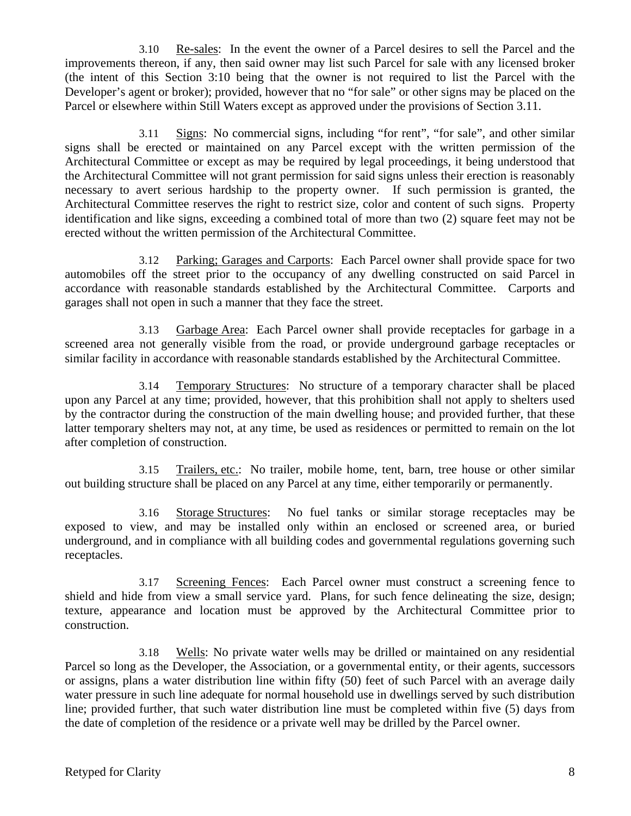3.10 Re-sales: In the event the owner of a Parcel desires to sell the Parcel and the improvements thereon, if any, then said owner may list such Parcel for sale with any licensed broker (the intent of this Section 3:10 being that the owner is not required to list the Parcel with the Developer's agent or broker); provided, however that no "for sale" or other signs may be placed on the Parcel or elsewhere within Still Waters except as approved under the provisions of Section 3.11.

3.11 Signs: No commercial signs, including "for rent", "for sale", and other similar signs shall be erected or maintained on any Parcel except with the written permission of the Architectural Committee or except as may be required by legal proceedings, it being understood that the Architectural Committee will not grant permission for said signs unless their erection is reasonably necessary to avert serious hardship to the property owner. If such permission is granted, the Architectural Committee reserves the right to restrict size, color and content of such signs. Property identification and like signs, exceeding a combined total of more than two (2) square feet may not be erected without the written permission of the Architectural Committee.

3.12 Parking; Garages and Carports: Each Parcel owner shall provide space for two automobiles off the street prior to the occupancy of any dwelling constructed on said Parcel in accordance with reasonable standards established by the Architectural Committee. Carports and garages shall not open in such a manner that they face the street.

3.13 Garbage Area: Each Parcel owner shall provide receptacles for garbage in a screened area not generally visible from the road, or provide underground garbage receptacles or similar facility in accordance with reasonable standards established by the Architectural Committee.

3.14 Temporary Structures: No structure of a temporary character shall be placed upon any Parcel at any time; provided, however, that this prohibition shall not apply to shelters used by the contractor during the construction of the main dwelling house; and provided further, that these latter temporary shelters may not, at any time, be used as residences or permitted to remain on the lot after completion of construction.

3.15 Trailers, etc.: No trailer, mobile home, tent, barn, tree house or other similar out building structure shall be placed on any Parcel at any time, either temporarily or permanently.

3.16 Storage Structures: No fuel tanks or similar storage receptacles may be exposed to view, and may be installed only within an enclosed or screened area, or buried underground, and in compliance with all building codes and governmental regulations governing such receptacles.

3.17 Screening Fences: Each Parcel owner must construct a screening fence to shield and hide from view a small service yard. Plans, for such fence delineating the size, design; texture, appearance and location must be approved by the Architectural Committee prior to construction.

3.18 Wells: No private water wells may be drilled or maintained on any residential Parcel so long as the Developer, the Association, or a governmental entity, or their agents, successors or assigns, plans a water distribution line within fifty (50) feet of such Parcel with an average daily water pressure in such line adequate for normal household use in dwellings served by such distribution line; provided further, that such water distribution line must be completed within five (5) days from the date of completion of the residence or a private well may be drilled by the Parcel owner.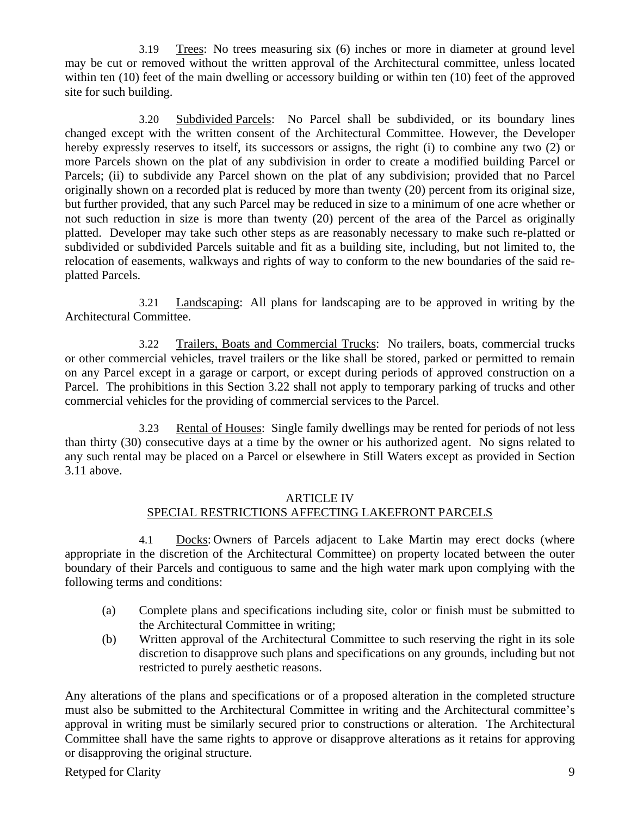3.19 Trees: No trees measuring six (6) inches or more in diameter at ground level may be cut or removed without the written approval of the Architectural committee, unless located within ten (10) feet of the main dwelling or accessory building or within ten (10) feet of the approved site for such building.

3.20 Subdivided Parcels: No Parcel shall be subdivided, or its boundary lines changed except with the written consent of the Architectural Committee. However, the Developer hereby expressly reserves to itself, its successors or assigns, the right (i) to combine any two (2) or more Parcels shown on the plat of any subdivision in order to create a modified building Parcel or Parcels; (ii) to subdivide any Parcel shown on the plat of any subdivision; provided that no Parcel originally shown on a recorded plat is reduced by more than twenty (20) percent from its original size, but further provided, that any such Parcel may be reduced in size to a minimum of one acre whether or not such reduction in size is more than twenty (20) percent of the area of the Parcel as originally platted. Developer may take such other steps as are reasonably necessary to make such re-platted or subdivided or subdivided Parcels suitable and fit as a building site, including, but not limited to, the relocation of easements, walkways and rights of way to conform to the new boundaries of the said replatted Parcels.

3.21 Landscaping: All plans for landscaping are to be approved in writing by the Architectural Committee.

3.22 Trailers, Boats and Commercial Trucks: No trailers, boats, commercial trucks or other commercial vehicles, travel trailers or the like shall be stored, parked or permitted to remain on any Parcel except in a garage or carport, or except during periods of approved construction on a Parcel. The prohibitions in this Section 3.22 shall not apply to temporary parking of trucks and other commercial vehicles for the providing of commercial services to the Parcel.

3.23 Rental of Houses: Single family dwellings may be rented for periods of not less than thirty (30) consecutive days at a time by the owner or his authorized agent. No signs related to any such rental may be placed on a Parcel or elsewhere in Still Waters except as provided in Section 3.11 above.

#### ARTICLE IV SPECIAL RESTRICTIONS AFFECTING LAKEFRONT PARCELS

4.1 Docks: Owners of Parcels adjacent to Lake Martin may erect docks (where appropriate in the discretion of the Architectural Committee) on property located between the outer boundary of their Parcels and contiguous to same and the high water mark upon complying with the following terms and conditions:

- (a) Complete plans and specifications including site, color or finish must be submitted to the Architectural Committee in writing;
- (b) Written approval of the Architectural Committee to such reserving the right in its sole discretion to disapprove such plans and specifications on any grounds, including but not restricted to purely aesthetic reasons.

Any alterations of the plans and specifications or of a proposed alteration in the completed structure must also be submitted to the Architectural Committee in writing and the Architectural committee's approval in writing must be similarly secured prior to constructions or alteration. The Architectural Committee shall have the same rights to approve or disapprove alterations as it retains for approving or disapproving the original structure.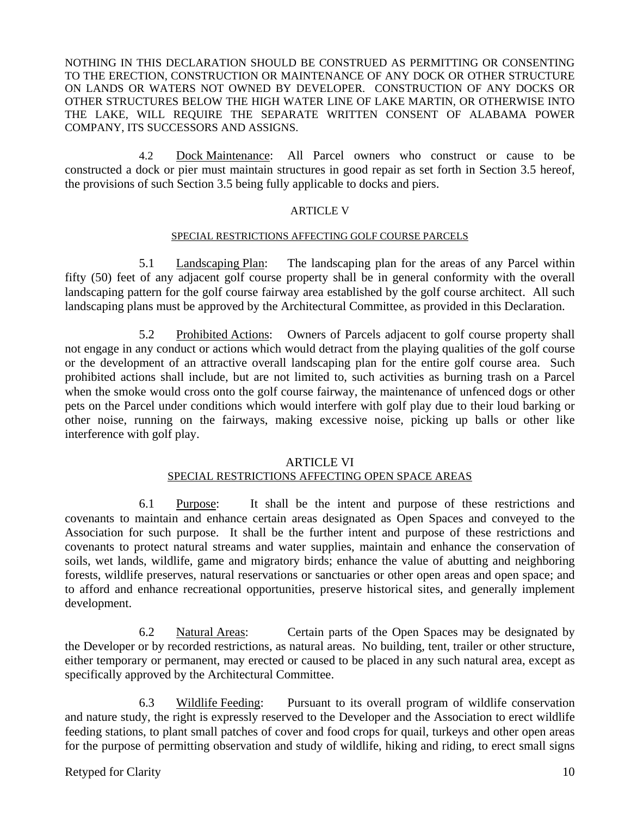NOTHING IN THIS DECLARATION SHOULD BE CONSTRUED AS PERMITTING OR CONSENTING TO THE ERECTION, CONSTRUCTION OR MAINTENANCE OF ANY DOCK OR OTHER STRUCTURE ON LANDS OR WATERS NOT OWNED BY DEVELOPER. CONSTRUCTION OF ANY DOCKS OR OTHER STRUCTURES BELOW THE HIGH WATER LINE OF LAKE MARTIN, OR OTHERWISE INTO THE LAKE, WILL REQUIRE THE SEPARATE WRITTEN CONSENT OF ALABAMA POWER COMPANY, ITS SUCCESSORS AND ASSIGNS.

4.2 Dock Maintenance: All Parcel owners who construct or cause to be constructed a dock or pier must maintain structures in good repair as set forth in Section 3.5 hereof, the provisions of such Section 3.5 being fully applicable to docks and piers.

#### ARTICLE V

#### SPECIAL RESTRICTIONS AFFECTING GOLF COURSE PARCELS

5.1 Landscaping Plan: The landscaping plan for the areas of any Parcel within fifty (50) feet of any adjacent golf course property shall be in general conformity with the overall landscaping pattern for the golf course fairway area established by the golf course architect. All such landscaping plans must be approved by the Architectural Committee, as provided in this Declaration.

5.2 Prohibited Actions: Owners of Parcels adjacent to golf course property shall not engage in any conduct or actions which would detract from the playing qualities of the golf course or the development of an attractive overall landscaping plan for the entire golf course area. Such prohibited actions shall include, but are not limited to, such activities as burning trash on a Parcel when the smoke would cross onto the golf course fairway, the maintenance of unfenced dogs or other pets on the Parcel under conditions which would interfere with golf play due to their loud barking or other noise, running on the fairways, making excessive noise, picking up balls or other like interference with golf play.

#### ARTICLE VI

#### SPECIAL RESTRICTIONS AFFECTING OPEN SPACE AREAS

6.1 Purpose: It shall be the intent and purpose of these restrictions and covenants to maintain and enhance certain areas designated as Open Spaces and conveyed to the Association for such purpose. It shall be the further intent and purpose of these restrictions and covenants to protect natural streams and water supplies, maintain and enhance the conservation of soils, wet lands, wildlife, game and migratory birds; enhance the value of abutting and neighboring forests, wildlife preserves, natural reservations or sanctuaries or other open areas and open space; and to afford and enhance recreational opportunities, preserve historical sites, and generally implement development.

6.2 Natural Areas: Certain parts of the Open Spaces may be designated by the Developer or by recorded restrictions, as natural areas. No building, tent, trailer or other structure, either temporary or permanent, may erected or caused to be placed in any such natural area, except as specifically approved by the Architectural Committee.

6.3 Wildlife Feeding: Pursuant to its overall program of wildlife conservation and nature study, the right is expressly reserved to the Developer and the Association to erect wildlife feeding stations, to plant small patches of cover and food crops for quail, turkeys and other open areas for the purpose of permitting observation and study of wildlife, hiking and riding, to erect small signs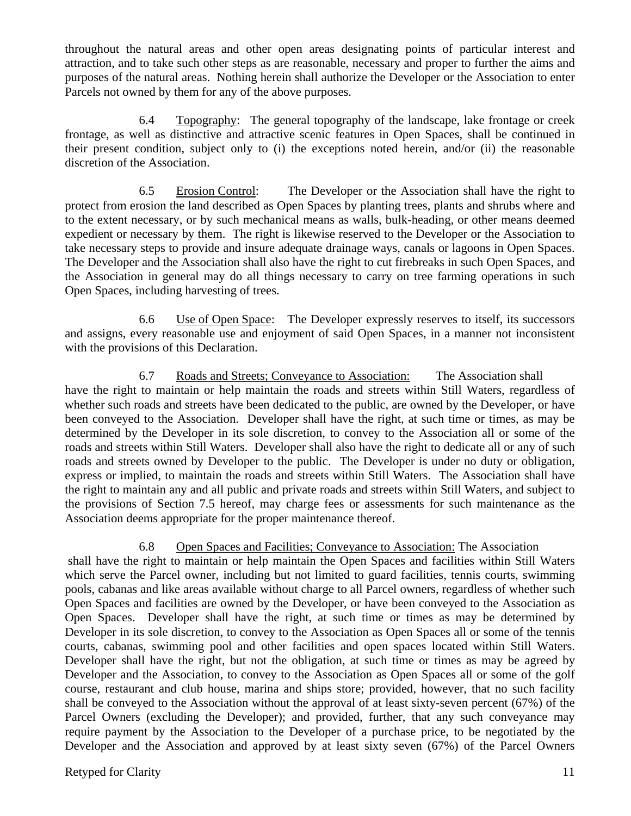throughout the natural areas and other open areas designating points of particular interest and attraction, and to take such other steps as are reasonable, necessary and proper to further the aims and purposes of the natural areas. Nothing herein shall authorize the Developer or the Association to enter Parcels not owned by them for any of the above purposes.

6.4 Topography: The general topography of the landscape, lake frontage or creek frontage, as well as distinctive and attractive scenic features in Open Spaces, shall be continued in their present condition, subject only to (i) the exceptions noted herein, and/or (ii) the reasonable discretion of the Association.

6.5 Erosion Control: The Developer or the Association shall have the right to protect from erosion the land described as Open Spaces by planting trees, plants and shrubs where and to the extent necessary, or by such mechanical means as walls, bulk-heading, or other means deemed expedient or necessary by them. The right is likewise reserved to the Developer or the Association to take necessary steps to provide and insure adequate drainage ways, canals or lagoons in Open Spaces. The Developer and the Association shall also have the right to cut firebreaks in such Open Spaces, and the Association in general may do all things necessary to carry on tree farming operations in such Open Spaces, including harvesting of trees.

6.6 Use of Open Space: The Developer expressly reserves to itself, its successors and assigns, every reasonable use and enjoyment of said Open Spaces, in a manner not inconsistent with the provisions of this Declaration.

6.7 Roads and Streets; Conveyance to Association: The Association shall have the right to maintain or help maintain the roads and streets within Still Waters, regardless of whether such roads and streets have been dedicated to the public, are owned by the Developer, or have been conveyed to the Association. Developer shall have the right, at such time or times, as may be determined by the Developer in its sole discretion, to convey to the Association all or some of the roads and streets within Still Waters. Developer shall also have the right to dedicate all or any of such roads and streets owned by Developer to the public. The Developer is under no duty or obligation, express or implied, to maintain the roads and streets within Still Waters. The Association shall have the right to maintain any and all public and private roads and streets within Still Waters, and subject to the provisions of Section 7.5 hereof, may charge fees or assessments for such maintenance as the Association deems appropriate for the proper maintenance thereof.

6.8 Open Spaces and Facilities; Conveyance to Association: The Association

 shall have the right to maintain or help maintain the Open Spaces and facilities within Still Waters which serve the Parcel owner, including but not limited to guard facilities, tennis courts, swimming pools, cabanas and like areas available without charge to all Parcel owners, regardless of whether such Open Spaces and facilities are owned by the Developer, or have been conveyed to the Association as Open Spaces. Developer shall have the right, at such time or times as may be determined by Developer in its sole discretion, to convey to the Association as Open Spaces all or some of the tennis courts, cabanas, swimming pool and other facilities and open spaces located within Still Waters. Developer shall have the right, but not the obligation, at such time or times as may be agreed by Developer and the Association, to convey to the Association as Open Spaces all or some of the golf course, restaurant and club house, marina and ships store; provided, however, that no such facility shall be conveyed to the Association without the approval of at least sixty-seven percent (67%) of the Parcel Owners (excluding the Developer); and provided, further, that any such conveyance may require payment by the Association to the Developer of a purchase price, to be negotiated by the Developer and the Association and approved by at least sixty seven (67%) of the Parcel Owners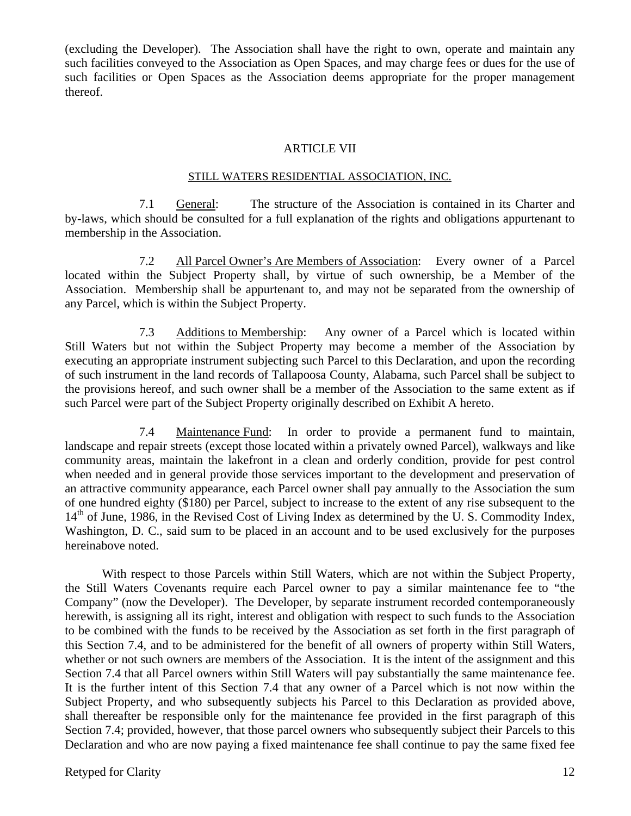(excluding the Developer). The Association shall have the right to own, operate and maintain any such facilities conveyed to the Association as Open Spaces, and may charge fees or dues for the use of such facilities or Open Spaces as the Association deems appropriate for the proper management thereof.

#### ARTICLE VII

#### STILL WATERS RESIDENTIAL ASSOCIATION, INC.

7.1 General: The structure of the Association is contained in its Charter and by-laws, which should be consulted for a full explanation of the rights and obligations appurtenant to membership in the Association.

7.2 All Parcel Owner's Are Members of Association: Every owner of a Parcel located within the Subject Property shall, by virtue of such ownership, be a Member of the Association. Membership shall be appurtenant to, and may not be separated from the ownership of any Parcel, which is within the Subject Property.

7.3 Additions to Membership: Any owner of a Parcel which is located within Still Waters but not within the Subject Property may become a member of the Association by executing an appropriate instrument subjecting such Parcel to this Declaration, and upon the recording of such instrument in the land records of Tallapoosa County, Alabama, such Parcel shall be subject to the provisions hereof, and such owner shall be a member of the Association to the same extent as if such Parcel were part of the Subject Property originally described on Exhibit A hereto.

7.4 Maintenance Fund: In order to provide a permanent fund to maintain, landscape and repair streets (except those located within a privately owned Parcel), walkways and like community areas, maintain the lakefront in a clean and orderly condition, provide for pest control when needed and in general provide those services important to the development and preservation of an attractive community appearance, each Parcel owner shall pay annually to the Association the sum of one hundred eighty (\$180) per Parcel, subject to increase to the extent of any rise subsequent to the  $14<sup>th</sup>$  of June, 1986, in the Revised Cost of Living Index as determined by the U.S. Commodity Index, Washington, D. C., said sum to be placed in an account and to be used exclusively for the purposes hereinabove noted.

With respect to those Parcels within Still Waters, which are not within the Subject Property, the Still Waters Covenants require each Parcel owner to pay a similar maintenance fee to "the Company" (now the Developer). The Developer, by separate instrument recorded contemporaneously herewith, is assigning all its right, interest and obligation with respect to such funds to the Association to be combined with the funds to be received by the Association as set forth in the first paragraph of this Section 7.4, and to be administered for the benefit of all owners of property within Still Waters, whether or not such owners are members of the Association. It is the intent of the assignment and this Section 7.4 that all Parcel owners within Still Waters will pay substantially the same maintenance fee. It is the further intent of this Section 7.4 that any owner of a Parcel which is not now within the Subject Property, and who subsequently subjects his Parcel to this Declaration as provided above, shall thereafter be responsible only for the maintenance fee provided in the first paragraph of this Section 7.4; provided, however, that those parcel owners who subsequently subject their Parcels to this Declaration and who are now paying a fixed maintenance fee shall continue to pay the same fixed fee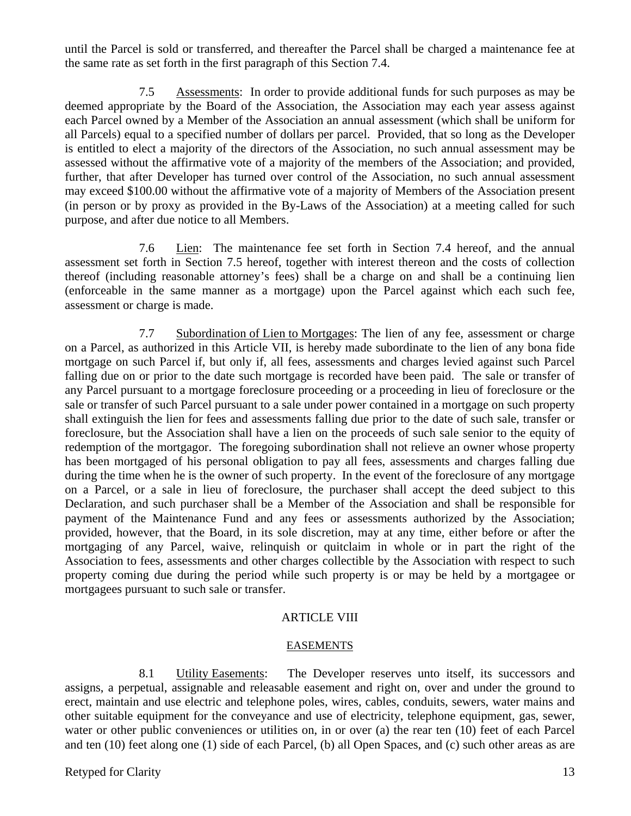until the Parcel is sold or transferred, and thereafter the Parcel shall be charged a maintenance fee at the same rate as set forth in the first paragraph of this Section 7.4.

7.5 Assessments: In order to provide additional funds for such purposes as may be deemed appropriate by the Board of the Association, the Association may each year assess against each Parcel owned by a Member of the Association an annual assessment (which shall be uniform for all Parcels) equal to a specified number of dollars per parcel. Provided, that so long as the Developer is entitled to elect a majority of the directors of the Association, no such annual assessment may be assessed without the affirmative vote of a majority of the members of the Association; and provided, further, that after Developer has turned over control of the Association, no such annual assessment may exceed \$100.00 without the affirmative vote of a majority of Members of the Association present (in person or by proxy as provided in the By-Laws of the Association) at a meeting called for such purpose, and after due notice to all Members.

7.6 Lien: The maintenance fee set forth in Section 7.4 hereof, and the annual assessment set forth in Section 7.5 hereof, together with interest thereon and the costs of collection thereof (including reasonable attorney's fees) shall be a charge on and shall be a continuing lien (enforceable in the same manner as a mortgage) upon the Parcel against which each such fee, assessment or charge is made.

7.7 Subordination of Lien to Mortgages: The lien of any fee, assessment or charge on a Parcel, as authorized in this Article VII, is hereby made subordinate to the lien of any bona fide mortgage on such Parcel if, but only if, all fees, assessments and charges levied against such Parcel falling due on or prior to the date such mortgage is recorded have been paid. The sale or transfer of any Parcel pursuant to a mortgage foreclosure proceeding or a proceeding in lieu of foreclosure or the sale or transfer of such Parcel pursuant to a sale under power contained in a mortgage on such property shall extinguish the lien for fees and assessments falling due prior to the date of such sale, transfer or foreclosure, but the Association shall have a lien on the proceeds of such sale senior to the equity of redemption of the mortgagor. The foregoing subordination shall not relieve an owner whose property has been mortgaged of his personal obligation to pay all fees, assessments and charges falling due during the time when he is the owner of such property. In the event of the foreclosure of any mortgage on a Parcel, or a sale in lieu of foreclosure, the purchaser shall accept the deed subject to this Declaration, and such purchaser shall be a Member of the Association and shall be responsible for payment of the Maintenance Fund and any fees or assessments authorized by the Association; provided, however, that the Board, in its sole discretion, may at any time, either before or after the mortgaging of any Parcel, waive, relinquish or quitclaim in whole or in part the right of the Association to fees, assessments and other charges collectible by the Association with respect to such property coming due during the period while such property is or may be held by a mortgagee or mortgagees pursuant to such sale or transfer.

#### ARTICLE VIII

#### EASEMENTS

8.1 Utility Easements: The Developer reserves unto itself, its successors and assigns, a perpetual, assignable and releasable easement and right on, over and under the ground to erect, maintain and use electric and telephone poles, wires, cables, conduits, sewers, water mains and other suitable equipment for the conveyance and use of electricity, telephone equipment, gas, sewer, water or other public conveniences or utilities on, in or over (a) the rear ten (10) feet of each Parcel and ten (10) feet along one (1) side of each Parcel, (b) all Open Spaces, and (c) such other areas as are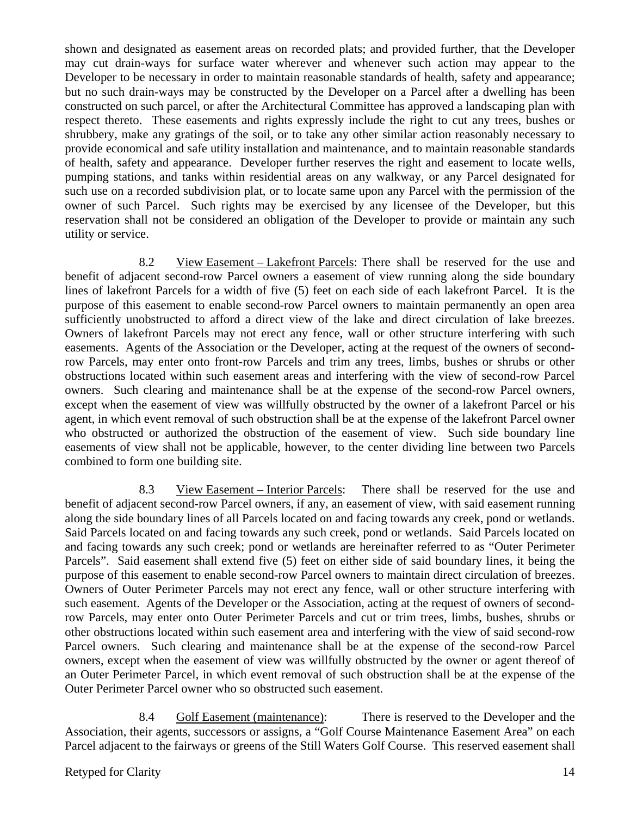shown and designated as easement areas on recorded plats; and provided further, that the Developer may cut drain-ways for surface water wherever and whenever such action may appear to the Developer to be necessary in order to maintain reasonable standards of health, safety and appearance; but no such drain-ways may be constructed by the Developer on a Parcel after a dwelling has been constructed on such parcel, or after the Architectural Committee has approved a landscaping plan with respect thereto. These easements and rights expressly include the right to cut any trees, bushes or shrubbery, make any gratings of the soil, or to take any other similar action reasonably necessary to provide economical and safe utility installation and maintenance, and to maintain reasonable standards of health, safety and appearance. Developer further reserves the right and easement to locate wells, pumping stations, and tanks within residential areas on any walkway, or any Parcel designated for such use on a recorded subdivision plat, or to locate same upon any Parcel with the permission of the owner of such Parcel. Such rights may be exercised by any licensee of the Developer, but this reservation shall not be considered an obligation of the Developer to provide or maintain any such utility or service.

8.2 View Easement – Lakefront Parcels: There shall be reserved for the use and benefit of adjacent second-row Parcel owners a easement of view running along the side boundary lines of lakefront Parcels for a width of five (5) feet on each side of each lakefront Parcel. It is the purpose of this easement to enable second-row Parcel owners to maintain permanently an open area sufficiently unobstructed to afford a direct view of the lake and direct circulation of lake breezes. Owners of lakefront Parcels may not erect any fence, wall or other structure interfering with such easements. Agents of the Association or the Developer, acting at the request of the owners of secondrow Parcels, may enter onto front-row Parcels and trim any trees, limbs, bushes or shrubs or other obstructions located within such easement areas and interfering with the view of second-row Parcel owners. Such clearing and maintenance shall be at the expense of the second-row Parcel owners, except when the easement of view was willfully obstructed by the owner of a lakefront Parcel or his agent, in which event removal of such obstruction shall be at the expense of the lakefront Parcel owner who obstructed or authorized the obstruction of the easement of view. Such side boundary line easements of view shall not be applicable, however, to the center dividing line between two Parcels combined to form one building site.

8.3 View Easement – Interior Parcels: There shall be reserved for the use and benefit of adjacent second-row Parcel owners, if any, an easement of view, with said easement running along the side boundary lines of all Parcels located on and facing towards any creek, pond or wetlands. Said Parcels located on and facing towards any such creek, pond or wetlands. Said Parcels located on and facing towards any such creek; pond or wetlands are hereinafter referred to as "Outer Perimeter Parcels". Said easement shall extend five (5) feet on either side of said boundary lines, it being the purpose of this easement to enable second-row Parcel owners to maintain direct circulation of breezes. Owners of Outer Perimeter Parcels may not erect any fence, wall or other structure interfering with such easement. Agents of the Developer or the Association, acting at the request of owners of secondrow Parcels, may enter onto Outer Perimeter Parcels and cut or trim trees, limbs, bushes, shrubs or other obstructions located within such easement area and interfering with the view of said second-row Parcel owners. Such clearing and maintenance shall be at the expense of the second-row Parcel owners, except when the easement of view was willfully obstructed by the owner or agent thereof of an Outer Perimeter Parcel, in which event removal of such obstruction shall be at the expense of the Outer Perimeter Parcel owner who so obstructed such easement.

8.4 Golf Easement (maintenance): There is reserved to the Developer and the Association, their agents, successors or assigns, a "Golf Course Maintenance Easement Area" on each Parcel adjacent to the fairways or greens of the Still Waters Golf Course. This reserved easement shall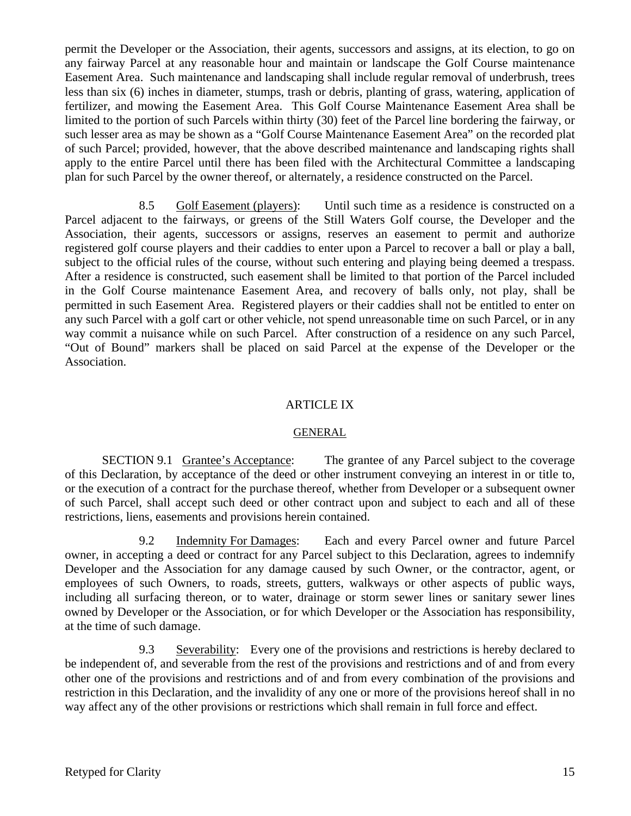permit the Developer or the Association, their agents, successors and assigns, at its election, to go on any fairway Parcel at any reasonable hour and maintain or landscape the Golf Course maintenance Easement Area. Such maintenance and landscaping shall include regular removal of underbrush, trees less than six (6) inches in diameter, stumps, trash or debris, planting of grass, watering, application of fertilizer, and mowing the Easement Area. This Golf Course Maintenance Easement Area shall be limited to the portion of such Parcels within thirty (30) feet of the Parcel line bordering the fairway, or such lesser area as may be shown as a "Golf Course Maintenance Easement Area" on the recorded plat of such Parcel; provided, however, that the above described maintenance and landscaping rights shall apply to the entire Parcel until there has been filed with the Architectural Committee a landscaping plan for such Parcel by the owner thereof, or alternately, a residence constructed on the Parcel.

8.5 Golf Easement (players): Until such time as a residence is constructed on a Parcel adjacent to the fairways, or greens of the Still Waters Golf course, the Developer and the Association, their agents, successors or assigns, reserves an easement to permit and authorize registered golf course players and their caddies to enter upon a Parcel to recover a ball or play a ball, subject to the official rules of the course, without such entering and playing being deemed a trespass. After a residence is constructed, such easement shall be limited to that portion of the Parcel included in the Golf Course maintenance Easement Area, and recovery of balls only, not play, shall be permitted in such Easement Area. Registered players or their caddies shall not be entitled to enter on any such Parcel with a golf cart or other vehicle, not spend unreasonable time on such Parcel, or in any way commit a nuisance while on such Parcel. After construction of a residence on any such Parcel, "Out of Bound" markers shall be placed on said Parcel at the expense of the Developer or the Association.

#### ARTICLE IX

#### **GENERAL**

SECTION 9.1 Grantee's Acceptance: The grantee of any Parcel subject to the coverage of this Declaration, by acceptance of the deed or other instrument conveying an interest in or title to, or the execution of a contract for the purchase thereof, whether from Developer or a subsequent owner of such Parcel, shall accept such deed or other contract upon and subject to each and all of these restrictions, liens, easements and provisions herein contained.

9.2 Indemnity For Damages: Each and every Parcel owner and future Parcel owner, in accepting a deed or contract for any Parcel subject to this Declaration, agrees to indemnify Developer and the Association for any damage caused by such Owner, or the contractor, agent, or employees of such Owners, to roads, streets, gutters, walkways or other aspects of public ways, including all surfacing thereon, or to water, drainage or storm sewer lines or sanitary sewer lines owned by Developer or the Association, or for which Developer or the Association has responsibility, at the time of such damage.

9.3 Severability: Every one of the provisions and restrictions is hereby declared to be independent of, and severable from the rest of the provisions and restrictions and of and from every other one of the provisions and restrictions and of and from every combination of the provisions and restriction in this Declaration, and the invalidity of any one or more of the provisions hereof shall in no way affect any of the other provisions or restrictions which shall remain in full force and effect.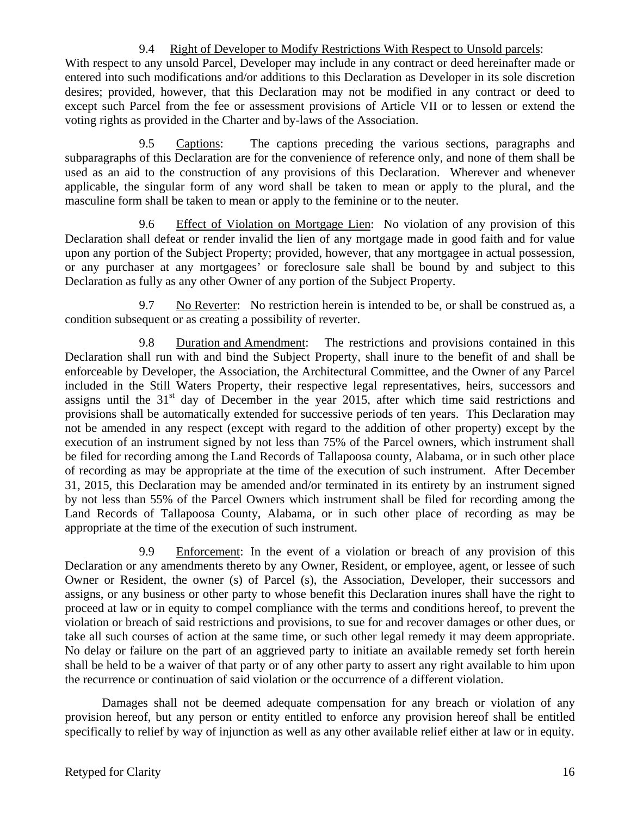#### 9.4 Right of Developer to Modify Restrictions With Respect to Unsold parcels:

With respect to any unsold Parcel, Developer may include in any contract or deed hereinafter made or entered into such modifications and/or additions to this Declaration as Developer in its sole discretion desires; provided, however, that this Declaration may not be modified in any contract or deed to except such Parcel from the fee or assessment provisions of Article VII or to lessen or extend the voting rights as provided in the Charter and by-laws of the Association.

9.5 Captions: The captions preceding the various sections, paragraphs and subparagraphs of this Declaration are for the convenience of reference only, and none of them shall be used as an aid to the construction of any provisions of this Declaration. Wherever and whenever applicable, the singular form of any word shall be taken to mean or apply to the plural, and the masculine form shall be taken to mean or apply to the feminine or to the neuter.

9.6 Effect of Violation on Mortgage Lien: No violation of any provision of this Declaration shall defeat or render invalid the lien of any mortgage made in good faith and for value upon any portion of the Subject Property; provided, however, that any mortgagee in actual possession, or any purchaser at any mortgagees' or foreclosure sale shall be bound by and subject to this Declaration as fully as any other Owner of any portion of the Subject Property.

9.7 No Reverter: No restriction herein is intended to be, or shall be construed as, a condition subsequent or as creating a possibility of reverter.

9.8 Duration and Amendment: The restrictions and provisions contained in this Declaration shall run with and bind the Subject Property, shall inure to the benefit of and shall be enforceable by Developer, the Association, the Architectural Committee, and the Owner of any Parcel included in the Still Waters Property, their respective legal representatives, heirs, successors and assigns until the  $31<sup>st</sup>$  day of December in the year 2015, after which time said restrictions and provisions shall be automatically extended for successive periods of ten years. This Declaration may not be amended in any respect (except with regard to the addition of other property) except by the execution of an instrument signed by not less than 75% of the Parcel owners, which instrument shall be filed for recording among the Land Records of Tallapoosa county, Alabama, or in such other place of recording as may be appropriate at the time of the execution of such instrument. After December 31, 2015, this Declaration may be amended and/or terminated in its entirety by an instrument signed by not less than 55% of the Parcel Owners which instrument shall be filed for recording among the Land Records of Tallapoosa County, Alabama, or in such other place of recording as may be appropriate at the time of the execution of such instrument.

9.9 Enforcement: In the event of a violation or breach of any provision of this Declaration or any amendments thereto by any Owner, Resident, or employee, agent, or lessee of such Owner or Resident, the owner (s) of Parcel (s), the Association, Developer, their successors and assigns, or any business or other party to whose benefit this Declaration inures shall have the right to proceed at law or in equity to compel compliance with the terms and conditions hereof, to prevent the violation or breach of said restrictions and provisions, to sue for and recover damages or other dues, or take all such courses of action at the same time, or such other legal remedy it may deem appropriate. No delay or failure on the part of an aggrieved party to initiate an available remedy set forth herein shall be held to be a waiver of that party or of any other party to assert any right available to him upon the recurrence or continuation of said violation or the occurrence of a different violation.

Damages shall not be deemed adequate compensation for any breach or violation of any provision hereof, but any person or entity entitled to enforce any provision hereof shall be entitled specifically to relief by way of injunction as well as any other available relief either at law or in equity.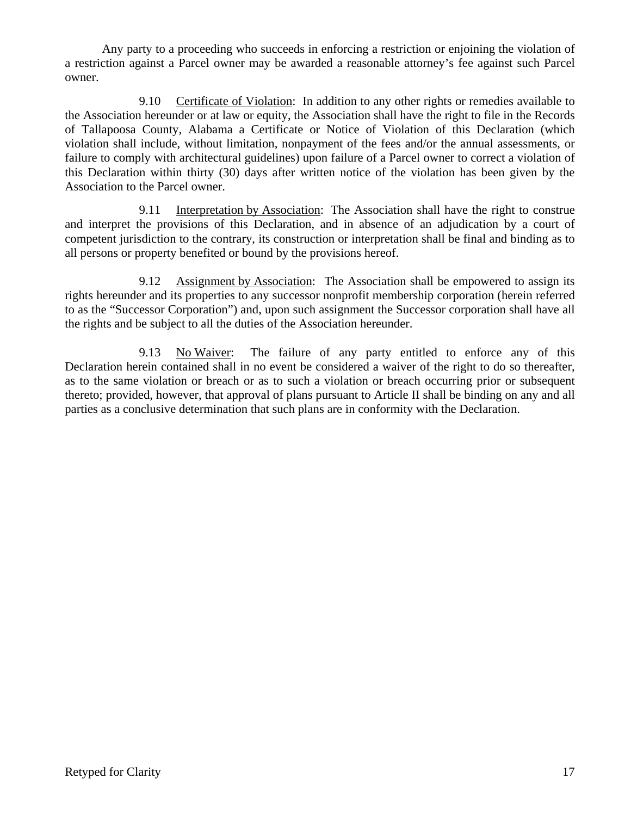Any party to a proceeding who succeeds in enforcing a restriction or enjoining the violation of a restriction against a Parcel owner may be awarded a reasonable attorney's fee against such Parcel owner.

9.10 Certificate of Violation: In addition to any other rights or remedies available to the Association hereunder or at law or equity, the Association shall have the right to file in the Records of Tallapoosa County, Alabama a Certificate or Notice of Violation of this Declaration (which violation shall include, without limitation, nonpayment of the fees and/or the annual assessments, or failure to comply with architectural guidelines) upon failure of a Parcel owner to correct a violation of this Declaration within thirty (30) days after written notice of the violation has been given by the Association to the Parcel owner.

9.11 Interpretation by Association: The Association shall have the right to construe and interpret the provisions of this Declaration, and in absence of an adjudication by a court of competent jurisdiction to the contrary, its construction or interpretation shall be final and binding as to all persons or property benefited or bound by the provisions hereof.

9.12 Assignment by Association: The Association shall be empowered to assign its rights hereunder and its properties to any successor nonprofit membership corporation (herein referred to as the "Successor Corporation") and, upon such assignment the Successor corporation shall have all the rights and be subject to all the duties of the Association hereunder.

9.13 No Waiver: The failure of any party entitled to enforce any of this Declaration herein contained shall in no event be considered a waiver of the right to do so thereafter, as to the same violation or breach or as to such a violation or breach occurring prior or subsequent thereto; provided, however, that approval of plans pursuant to Article II shall be binding on any and all parties as a conclusive determination that such plans are in conformity with the Declaration.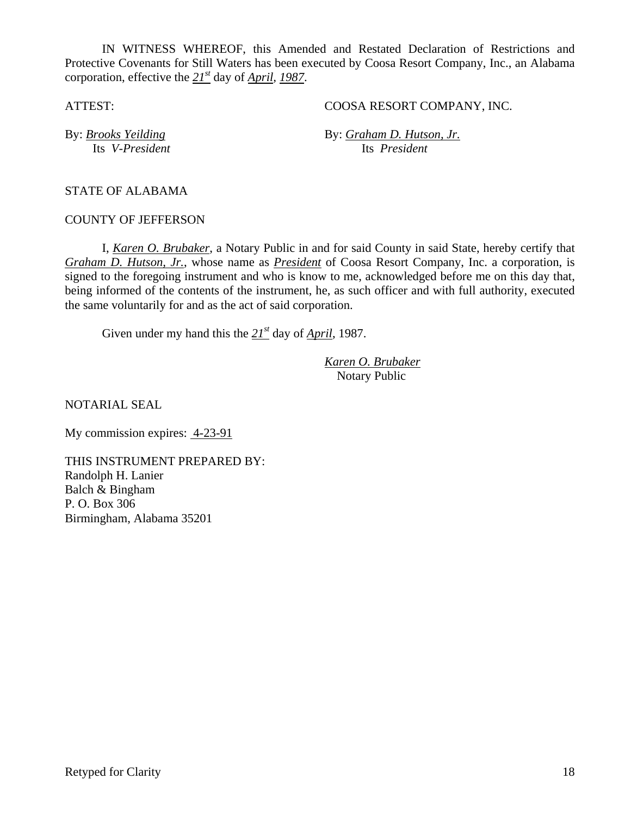IN WITNESS WHEREOF, this Amended and Restated Declaration of Restrictions and Protective Covenants for Still Waters has been executed by Coosa Resort Company, Inc., an Alabama corporation, effective the *21st* day of *April, 1987*.

ATTEST: COOSA RESORT COMPANY, INC.

By: *Brooks Yeilding* By: *Graham D. Hutson, Jr.* Its *V-President* Its *President* 

STATE OF ALABAMA

#### COUNTY OF JEFFERSON

 I, *Karen O. Brubaker*, a Notary Public in and for said County in said State, hereby certify that *Graham D. Hutson, Jr.*, whose name as *President* of Coosa Resort Company, Inc. a corporation, is signed to the foregoing instrument and who is know to me, acknowledged before me on this day that, being informed of the contents of the instrument, he, as such officer and with full authority, executed the same voluntarily for and as the act of said corporation.

Given under my hand this the *21st* day of *April*, 1987.

*Karen O. Brubaker* Notary Public

NOTARIAL SEAL

My commission expires: 4-23-91

THIS INSTRUMENT PREPARED BY: Randolph H. Lanier Balch & Bingham P. O. Box 306 Birmingham, Alabama 35201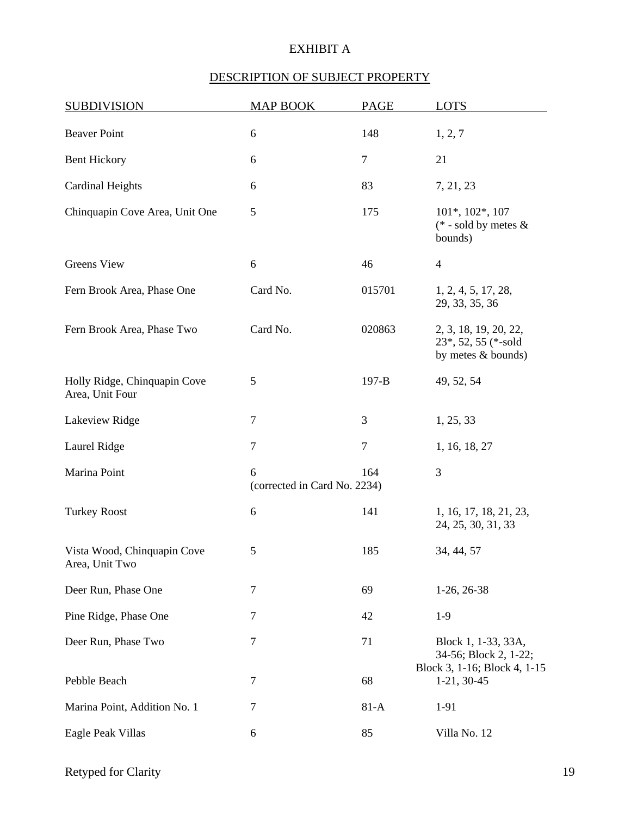# EXHIBIT A

# DESCRIPTION OF SUBJECT PROPERTY

| <b>SUBDIVISION</b>                              | <b>MAP BOOK</b>                   | <b>PAGE</b>      | <b>LOTS</b>                                                        |
|-------------------------------------------------|-----------------------------------|------------------|--------------------------------------------------------------------|
| <b>Beaver Point</b>                             | 6                                 | 148              | 1, 2, 7                                                            |
| <b>Bent Hickory</b>                             | 6                                 | $\boldsymbol{7}$ | 21                                                                 |
| <b>Cardinal Heights</b>                         | 6                                 | 83               | 7, 21, 23                                                          |
| Chinquapin Cove Area, Unit One                  | 5                                 | 175              | $101^*, 102^*, 107$<br>(* - sold by metes $\&$<br>bounds)          |
| <b>Greens View</b>                              | 6                                 | 46               | $\overline{4}$                                                     |
| Fern Brook Area, Phase One                      | Card No.                          | 015701           | 1, 2, 4, 5, 17, 28,<br>29, 33, 35, 36                              |
| Fern Brook Area, Phase Two                      | Card No.                          | 020863           | 2, 3, 18, 19, 20, 22,<br>23*, 52, 55 (*-sold<br>by metes & bounds) |
| Holly Ridge, Chinquapin Cove<br>Area, Unit Four | 5                                 | $197 - B$        | 49, 52, 54                                                         |
| Lakeview Ridge                                  | $\tau$                            | 3                | 1, 25, 33                                                          |
| Laurel Ridge                                    | $\overline{7}$                    | $\tau$           | 1, 16, 18, 27                                                      |
| Marina Point                                    | 6<br>(corrected in Card No. 2234) | 164              | 3                                                                  |
| <b>Turkey Roost</b>                             | 6                                 | 141              | 1, 16, 17, 18, 21, 23,<br>24, 25, 30, 31, 33                       |
| Vista Wood, Chinquapin Cove<br>Area, Unit Two   | 5                                 | 185              | 34, 44, 57                                                         |
| Deer Run, Phase One                             | $\tau$                            | 69               | $1-26, 26-38$                                                      |
| Pine Ridge, Phase One                           | 7                                 | 42               | $1-9$                                                              |
| Deer Run, Phase Two                             | $\tau$                            | 71               | Block 1, 1-33, 33A,<br>34-56; Block 2, 1-22;                       |
| Pebble Beach                                    | $\tau$                            | 68               | Block 3, 1-16; Block 4, 1-15<br>$1-21, 30-45$                      |
| Marina Point, Addition No. 1                    | 7                                 | $81-A$           | 1-91                                                               |
| Eagle Peak Villas                               | 6                                 | 85               | Villa No. 12                                                       |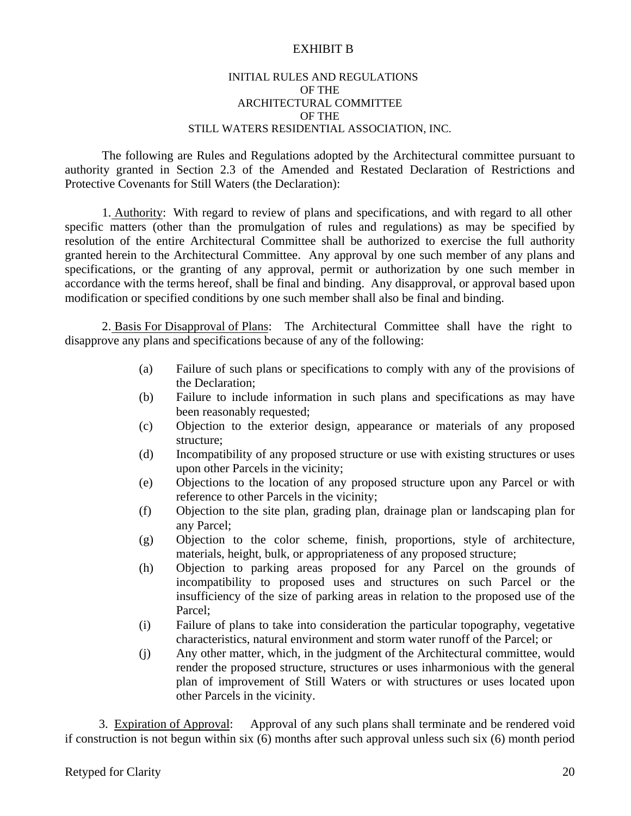#### EXHIBIT B

#### INITIAL RULES AND REGULATIONS OF THE ARCHITECTURAL COMMITTEE OF THE STILL WATERS RESIDENTIAL ASSOCIATION, INC.

The following are Rules and Regulations adopted by the Architectural committee pursuant to authority granted in Section 2.3 of the Amended and Restated Declaration of Restrictions and Protective Covenants for Still Waters (the Declaration):

1. Authority: With regard to review of plans and specifications, and with regard to all other specific matters (other than the promulgation of rules and regulations) as may be specified by resolution of the entire Architectural Committee shall be authorized to exercise the full authority granted herein to the Architectural Committee. Any approval by one such member of any plans and specifications, or the granting of any approval, permit or authorization by one such member in accordance with the terms hereof, shall be final and binding. Any disapproval, or approval based upon modification or specified conditions by one such member shall also be final and binding.

2. Basis For Disapproval of Plans: The Architectural Committee shall have the right to disapprove any plans and specifications because of any of the following:

- (a) Failure of such plans or specifications to comply with any of the provisions of the Declaration;
- (b) Failure to include information in such plans and specifications as may have been reasonably requested;
- (c) Objection to the exterior design, appearance or materials of any proposed structure;
- (d) Incompatibility of any proposed structure or use with existing structures or uses upon other Parcels in the vicinity;
- (e) Objections to the location of any proposed structure upon any Parcel or with reference to other Parcels in the vicinity;
- (f) Objection to the site plan, grading plan, drainage plan or landscaping plan for any Parcel;
- (g) Objection to the color scheme, finish, proportions, style of architecture, materials, height, bulk, or appropriateness of any proposed structure;
- (h) Objection to parking areas proposed for any Parcel on the grounds of incompatibility to proposed uses and structures on such Parcel or the insufficiency of the size of parking areas in relation to the proposed use of the Parcel;
- (i) Failure of plans to take into consideration the particular topography, vegetative characteristics, natural environment and storm water runoff of the Parcel; or
- (j) Any other matter, which, in the judgment of the Architectural committee, would render the proposed structure, structures or uses inharmonious with the general plan of improvement of Still Waters or with structures or uses located upon other Parcels in the vicinity.

3. Expiration of Approval: Approval of any such plans shall terminate and be rendered void if construction is not begun within six (6) months after such approval unless such six (6) month period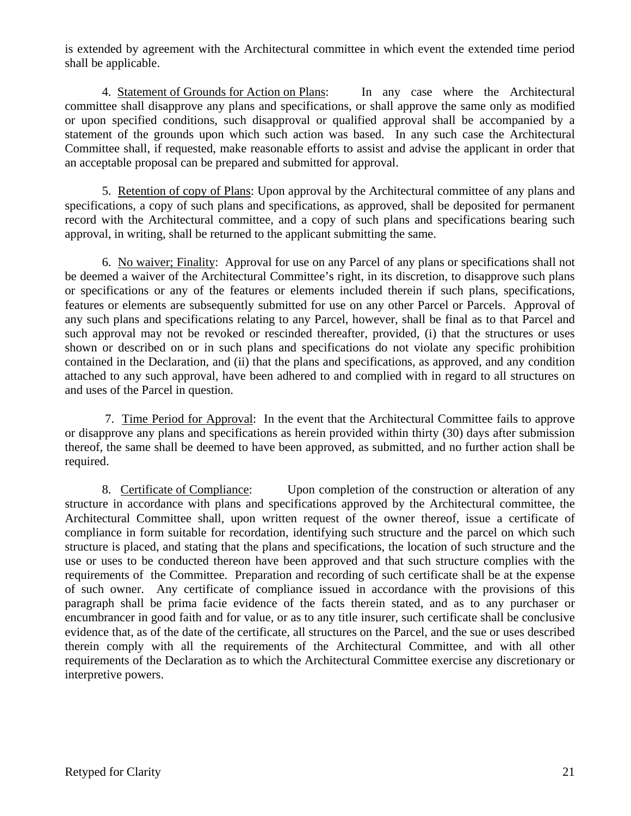is extended by agreement with the Architectural committee in which event the extended time period shall be applicable.

 4. Statement of Grounds for Action on Plans: In any case where the Architectural committee shall disapprove any plans and specifications, or shall approve the same only as modified or upon specified conditions, such disapproval or qualified approval shall be accompanied by a statement of the grounds upon which such action was based. In any such case the Architectural Committee shall, if requested, make reasonable efforts to assist and advise the applicant in order that an acceptable proposal can be prepared and submitted for approval.

5. Retention of copy of Plans: Upon approval by the Architectural committee of any plans and specifications, a copy of such plans and specifications, as approved, shall be deposited for permanent record with the Architectural committee, and a copy of such plans and specifications bearing such approval, in writing, shall be returned to the applicant submitting the same.

6. No waiver; Finality: Approval for use on any Parcel of any plans or specifications shall not be deemed a waiver of the Architectural Committee's right, in its discretion, to disapprove such plans or specifications or any of the features or elements included therein if such plans, specifications, features or elements are subsequently submitted for use on any other Parcel or Parcels. Approval of any such plans and specifications relating to any Parcel, however, shall be final as to that Parcel and such approval may not be revoked or rescinded thereafter, provided, (i) that the structures or uses shown or described on or in such plans and specifications do not violate any specific prohibition contained in the Declaration, and (ii) that the plans and specifications, as approved, and any condition attached to any such approval, have been adhered to and complied with in regard to all structures on and uses of the Parcel in question.

7. Time Period for Approval: In the event that the Architectural Committee fails to approve or disapprove any plans and specifications as herein provided within thirty (30) days after submission thereof, the same shall be deemed to have been approved, as submitted, and no further action shall be required.

8. Certificate of Compliance: Upon completion of the construction or alteration of any structure in accordance with plans and specifications approved by the Architectural committee, the Architectural Committee shall, upon written request of the owner thereof, issue a certificate of compliance in form suitable for recordation, identifying such structure and the parcel on which such structure is placed, and stating that the plans and specifications, the location of such structure and the use or uses to be conducted thereon have been approved and that such structure complies with the requirements of the Committee. Preparation and recording of such certificate shall be at the expense of such owner. Any certificate of compliance issued in accordance with the provisions of this paragraph shall be prima facie evidence of the facts therein stated, and as to any purchaser or encumbrancer in good faith and for value, or as to any title insurer, such certificate shall be conclusive evidence that, as of the date of the certificate, all structures on the Parcel, and the sue or uses described therein comply with all the requirements of the Architectural Committee, and with all other requirements of the Declaration as to which the Architectural Committee exercise any discretionary or interpretive powers.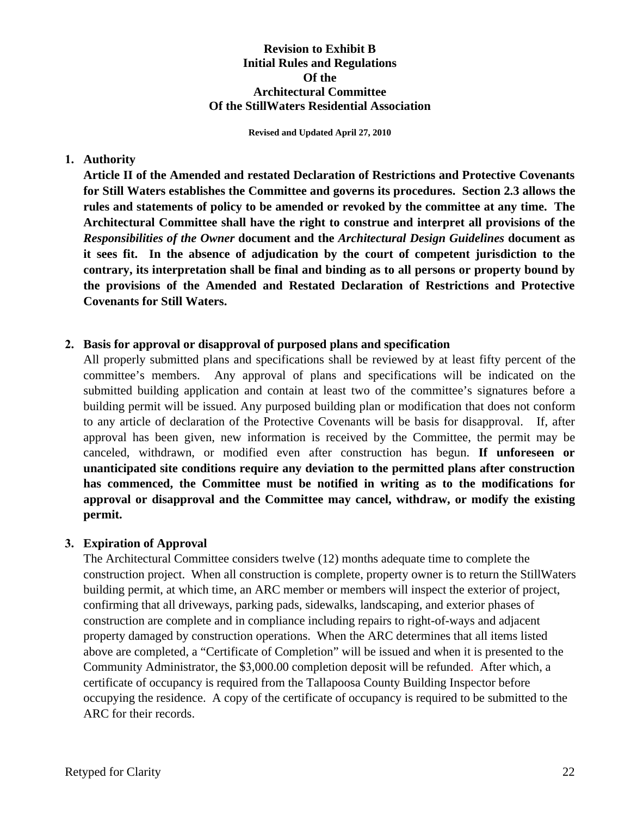## **Revision to Exhibit B Initial Rules and Regulations Of the Architectural Committee Of the StillWaters Residential Association**

**Revised and Updated April 27, 2010** 

#### **1. Authority**

**Article II of the Amended and restated Declaration of Restrictions and Protective Covenants for Still Waters establishes the Committee and governs its procedures. Section 2.3 allows the rules and statements of policy to be amended or revoked by the committee at any time. The Architectural Committee shall have the right to construe and interpret all provisions of the** *Responsibilities of the Owner* **document and the** *Architectural Design Guidelines* **document as it sees fit. In the absence of adjudication by the court of competent jurisdiction to the contrary, its interpretation shall be final and binding as to all persons or property bound by the provisions of the Amended and Restated Declaration of Restrictions and Protective Covenants for Still Waters.**

#### **2. Basis for approval or disapproval of purposed plans and specification**

All properly submitted plans and specifications shall be reviewed by at least fifty percent of the committee's members. Any approval of plans and specifications will be indicated on the submitted building application and contain at least two of the committee's signatures before a building permit will be issued. Any purposed building plan or modification that does not conform to any article of declaration of the Protective Covenants will be basis for disapproval. If, after approval has been given, new information is received by the Committee, the permit may be canceled, withdrawn, or modified even after construction has begun. **If unforeseen or unanticipated site conditions require any deviation to the permitted plans after construction has commenced, the Committee must be notified in writing as to the modifications for approval or disapproval and the Committee may cancel, withdraw, or modify the existing permit.**

## **3. Expiration of Approval**

The Architectural Committee considers twelve (12) months adequate time to complete the construction project. When all construction is complete, property owner is to return the StillWaters building permit, at which time, an ARC member or members will inspect the exterior of project, confirming that all driveways, parking pads, sidewalks, landscaping, and exterior phases of construction are complete and in compliance including repairs to right-of-ways and adjacent property damaged by construction operations. When the ARC determines that all items listed above are completed, a "Certificate of Completion" will be issued and when it is presented to the Community Administrator, the \$3,000.00 completion deposit will be refunded. After which, a certificate of occupancy is required from the Tallapoosa County Building Inspector before occupying the residence. A copy of the certificate of occupancy is required to be submitted to the ARC for their records.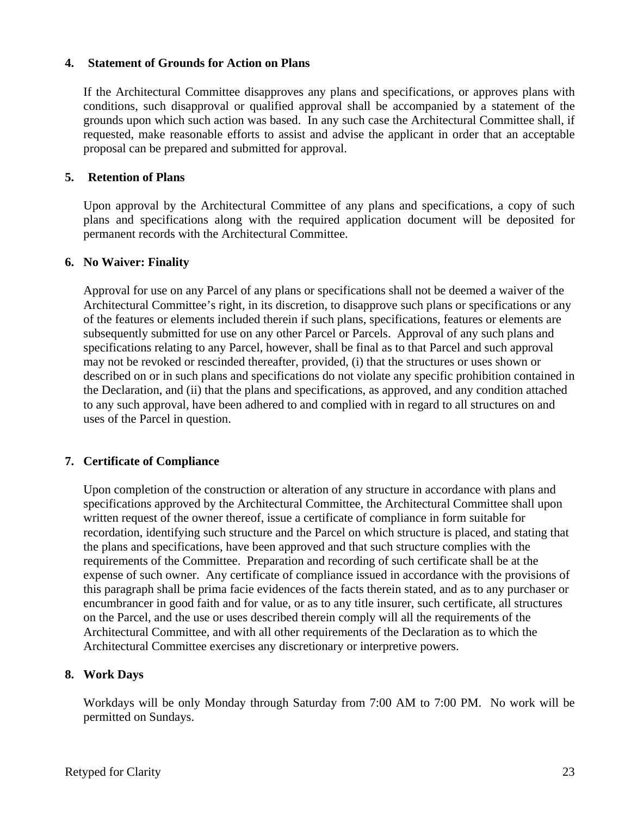#### **4. Statement of Grounds for Action on Plans**

If the Architectural Committee disapproves any plans and specifications, or approves plans with conditions, such disapproval or qualified approval shall be accompanied by a statement of the grounds upon which such action was based. In any such case the Architectural Committee shall, if requested, make reasonable efforts to assist and advise the applicant in order that an acceptable proposal can be prepared and submitted for approval.

#### **5. Retention of Plans**

Upon approval by the Architectural Committee of any plans and specifications, a copy of such plans and specifications along with the required application document will be deposited for permanent records with the Architectural Committee.

#### **6. No Waiver: Finality**

Approval for use on any Parcel of any plans or specifications shall not be deemed a waiver of the Architectural Committee's right, in its discretion, to disapprove such plans or specifications or any of the features or elements included therein if such plans, specifications, features or elements are subsequently submitted for use on any other Parcel or Parcels. Approval of any such plans and specifications relating to any Parcel, however, shall be final as to that Parcel and such approval may not be revoked or rescinded thereafter, provided, (i) that the structures or uses shown or described on or in such plans and specifications do not violate any specific prohibition contained in the Declaration, and (ii) that the plans and specifications, as approved, and any condition attached to any such approval, have been adhered to and complied with in regard to all structures on and uses of the Parcel in question.

## **7. Certificate of Compliance**

Upon completion of the construction or alteration of any structure in accordance with plans and specifications approved by the Architectural Committee, the Architectural Committee shall upon written request of the owner thereof, issue a certificate of compliance in form suitable for recordation, identifying such structure and the Parcel on which structure is placed, and stating that the plans and specifications, have been approved and that such structure complies with the requirements of the Committee. Preparation and recording of such certificate shall be at the expense of such owner. Any certificate of compliance issued in accordance with the provisions of this paragraph shall be prima facie evidences of the facts therein stated, and as to any purchaser or encumbrancer in good faith and for value, or as to any title insurer, such certificate, all structures on the Parcel, and the use or uses described therein comply will all the requirements of the Architectural Committee, and with all other requirements of the Declaration as to which the Architectural Committee exercises any discretionary or interpretive powers.

## **8. Work Days**

Workdays will be only Monday through Saturday from 7:00 AM to 7:00 PM. No work will be permitted on Sundays.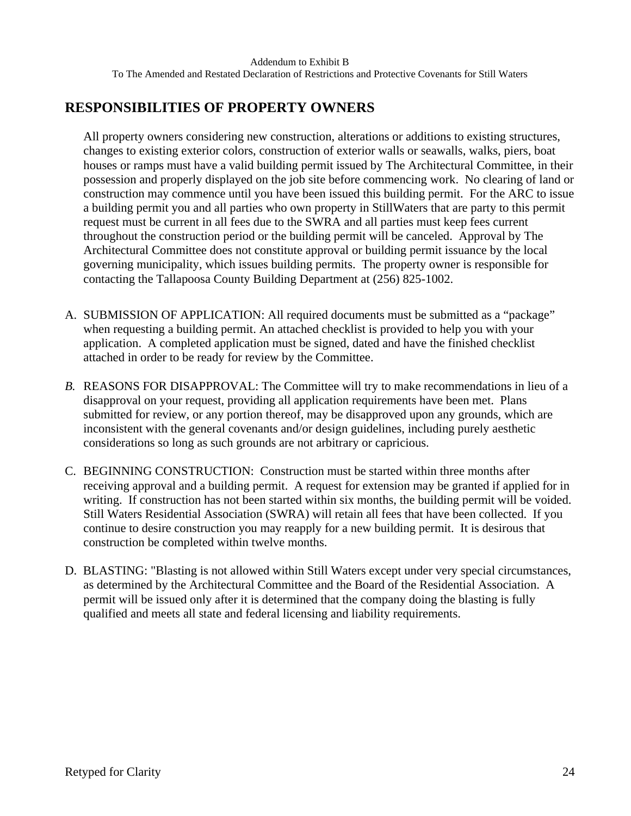# **RESPONSIBILITIES OF PROPERTY OWNERS**

All property owners considering new construction, alterations or additions to existing structures, changes to existing exterior colors, construction of exterior walls or seawalls, walks, piers, boat houses or ramps must have a valid building permit issued by The Architectural Committee, in their possession and properly displayed on the job site before commencing work. No clearing of land or construction may commence until you have been issued this building permit. For the ARC to issue a building permit you and all parties who own property in StillWaters that are party to this permit request must be current in all fees due to the SWRA and all parties must keep fees current throughout the construction period or the building permit will be canceled. Approval by The Architectural Committee does not constitute approval or building permit issuance by the local governing municipality, which issues building permits. The property owner is responsible for contacting the Tallapoosa County Building Department at (256) 825-1002.

- A. SUBMISSION OF APPLICATION: All required documents must be submitted as a "package" when requesting a building permit. An attached checklist is provided to help you with your application. A completed application must be signed, dated and have the finished checklist attached in order to be ready for review by the Committee.
- *B.* REASONS FOR DISAPPROVAL: The Committee will try to make recommendations in lieu of a disapproval on your request, providing all application requirements have been met. Plans submitted for review, or any portion thereof, may be disapproved upon any grounds, which are inconsistent with the general covenants and/or design guidelines, including purely aesthetic considerations so long as such grounds are not arbitrary or capricious.
- C. BEGINNING CONSTRUCTION: Construction must be started within three months after receiving approval and a building permit. A request for extension may be granted if applied for in writing. If construction has not been started within six months, the building permit will be voided. Still Waters Residential Association (SWRA) will retain all fees that have been collected. If you continue to desire construction you may reapply for a new building permit. It is desirous that construction be completed within twelve months.
- D. BLASTING: "Blasting is not allowed within Still Waters except under very special circumstances, as determined by the Architectural Committee and the Board of the Residential Association. A permit will be issued only after it is determined that the company doing the blasting is fully qualified and meets all state and federal licensing and liability requirements.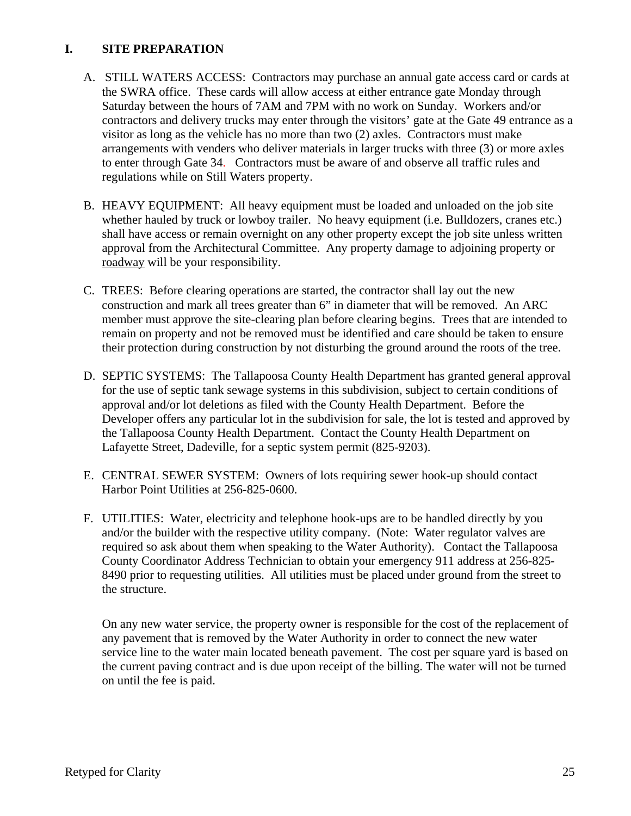### **I. SITE PREPARATION**

- A. STILL WATERS ACCESS: Contractors may purchase an annual gate access card or cards at the SWRA office. These cards will allow access at either entrance gate Monday through Saturday between the hours of 7AM and 7PM with no work on Sunday. Workers and/or contractors and delivery trucks may enter through the visitors' gate at the Gate 49 entrance as a visitor as long as the vehicle has no more than two (2) axles. Contractors must make arrangements with venders who deliver materials in larger trucks with three (3) or more axles to enter through Gate 34. Contractors must be aware of and observe all traffic rules and regulations while on Still Waters property.
- B. HEAVY EQUIPMENT: All heavy equipment must be loaded and unloaded on the job site whether hauled by truck or lowboy trailer. No heavy equipment (i.e. Bulldozers, cranes etc.) shall have access or remain overnight on any other property except the job site unless written approval from the Architectural Committee. Any property damage to adjoining property or roadway will be your responsibility.
- C. TREES: Before clearing operations are started, the contractor shall lay out the new construction and mark all trees greater than 6" in diameter that will be removed. An ARC member must approve the site-clearing plan before clearing begins. Trees that are intended to remain on property and not be removed must be identified and care should be taken to ensure their protection during construction by not disturbing the ground around the roots of the tree.
- D. SEPTIC SYSTEMS: The Tallapoosa County Health Department has granted general approval for the use of septic tank sewage systems in this subdivision, subject to certain conditions of approval and/or lot deletions as filed with the County Health Department. Before the Developer offers any particular lot in the subdivision for sale, the lot is tested and approved by the Tallapoosa County Health Department. Contact the County Health Department on Lafayette Street, Dadeville, for a septic system permit (825-9203).
- E. CENTRAL SEWER SYSTEM: Owners of lots requiring sewer hook-up should contact Harbor Point Utilities at 256-825-0600.
- F. UTILITIES: Water, electricity and telephone hook-ups are to be handled directly by you and/or the builder with the respective utility company. (Note: Water regulator valves are required so ask about them when speaking to the Water Authority). Contact the Tallapoosa County Coordinator Address Technician to obtain your emergency 911 address at 256-825- 8490 prior to requesting utilities. All utilities must be placed under ground from the street to the structure.

On any new water service, the property owner is responsible for the cost of the replacement of any pavement that is removed by the Water Authority in order to connect the new water service line to the water main located beneath pavement. The cost per square yard is based on the current paving contract and is due upon receipt of the billing. The water will not be turned on until the fee is paid.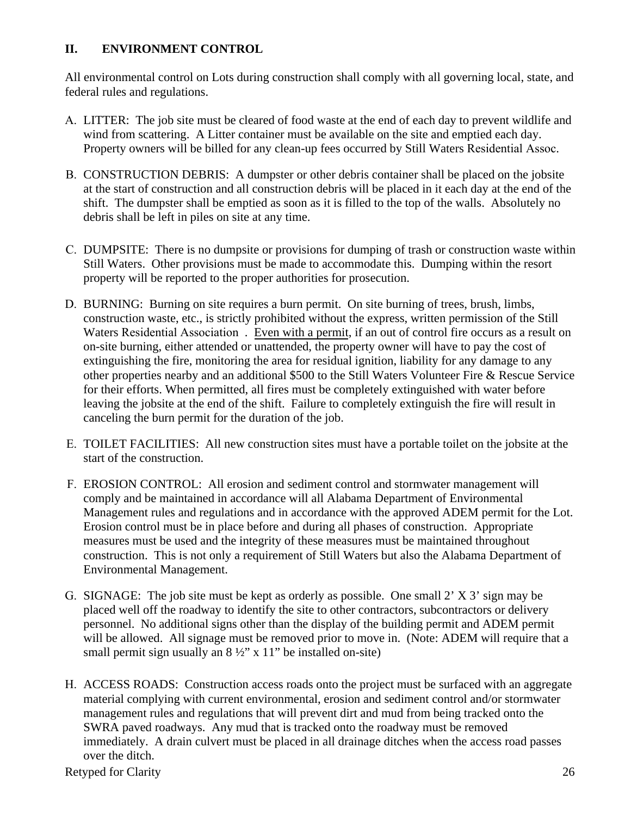# **II. ENVIRONMENT CONTROL**

All environmental control on Lots during construction shall comply with all governing local, state, and federal rules and regulations.

- A. LITTER: The job site must be cleared of food waste at the end of each day to prevent wildlife and wind from scattering. A Litter container must be available on the site and emptied each day. Property owners will be billed for any clean-up fees occurred by Still Waters Residential Assoc.
- B. CONSTRUCTION DEBRIS: A dumpster or other debris container shall be placed on the jobsite at the start of construction and all construction debris will be placed in it each day at the end of the shift. The dumpster shall be emptied as soon as it is filled to the top of the walls. Absolutely no debris shall be left in piles on site at any time.
- C. DUMPSITE: There is no dumpsite or provisions for dumping of trash or construction waste within Still Waters. Other provisions must be made to accommodate this. Dumping within the resort property will be reported to the proper authorities for prosecution.
- D. BURNING: Burning on site requires a burn permit. On site burning of trees, brush, limbs, construction waste, etc., is strictly prohibited without the express, written permission of the Still Waters Residential Association . Even with a permit, if an out of control fire occurs as a result on on-site burning, either attended or unattended, the property owner will have to pay the cost of extinguishing the fire, monitoring the area for residual ignition, liability for any damage to any other properties nearby and an additional \$500 to the Still Waters Volunteer Fire & Rescue Service for their efforts. When permitted, all fires must be completely extinguished with water before leaving the jobsite at the end of the shift. Failure to completely extinguish the fire will result in canceling the burn permit for the duration of the job.
- E. TOILET FACILITIES: All new construction sites must have a portable toilet on the jobsite at the start of the construction.
- F. EROSION CONTROL: All erosion and sediment control and stormwater management will comply and be maintained in accordance will all Alabama Department of Environmental Management rules and regulations and in accordance with the approved ADEM permit for the Lot. Erosion control must be in place before and during all phases of construction. Appropriate measures must be used and the integrity of these measures must be maintained throughout construction. This is not only a requirement of Still Waters but also the Alabama Department of Environmental Management.
- G. SIGNAGE: The job site must be kept as orderly as possible. One small  $2' \times 3'$  sign may be placed well off the roadway to identify the site to other contractors, subcontractors or delivery personnel. No additional signs other than the display of the building permit and ADEM permit will be allowed. All signage must be removed prior to move in. (Note: ADEM will require that a small permit sign usually an  $8\frac{1}{2}$  x 11" be installed on-site)
- H. ACCESS ROADS: Construction access roads onto the project must be surfaced with an aggregate material complying with current environmental, erosion and sediment control and/or stormwater management rules and regulations that will prevent dirt and mud from being tracked onto the SWRA paved roadways. Any mud that is tracked onto the roadway must be removed immediately. A drain culvert must be placed in all drainage ditches when the access road passes over the ditch.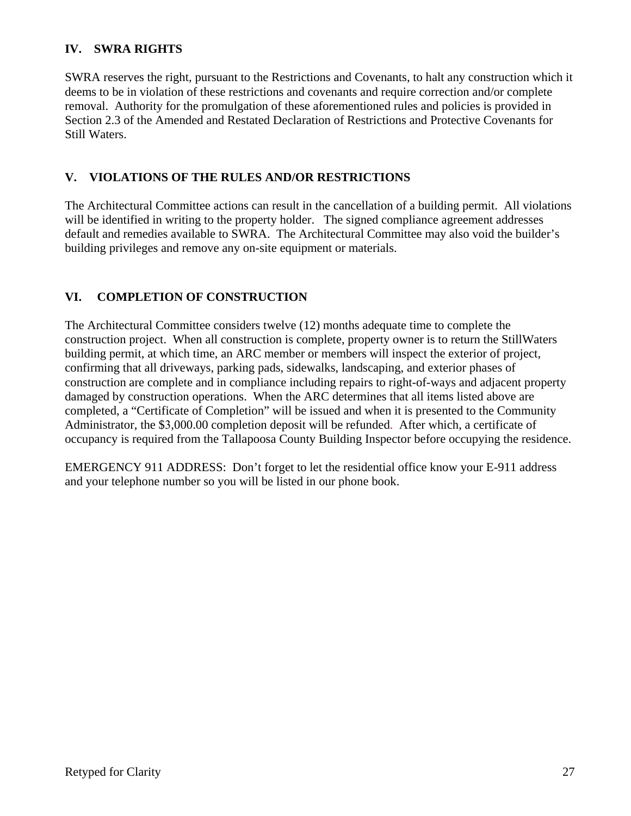# **IV. SWRA RIGHTS**

SWRA reserves the right, pursuant to the Restrictions and Covenants, to halt any construction which it deems to be in violation of these restrictions and covenants and require correction and/or complete removal. Authority for the promulgation of these aforementioned rules and policies is provided in Section 2.3 of the Amended and Restated Declaration of Restrictions and Protective Covenants for Still Waters.

### **V. VIOLATIONS OF THE RULES AND/OR RESTRICTIONS**

The Architectural Committee actions can result in the cancellation of a building permit. All violations will be identified in writing to the property holder. The signed compliance agreement addresses default and remedies available to SWRA. The Architectural Committee may also void the builder's building privileges and remove any on-site equipment or materials.

## **VI. COMPLETION OF CONSTRUCTION**

The Architectural Committee considers twelve (12) months adequate time to complete the construction project. When all construction is complete, property owner is to return the StillWaters building permit, at which time, an ARC member or members will inspect the exterior of project, confirming that all driveways, parking pads, sidewalks, landscaping, and exterior phases of construction are complete and in compliance including repairs to right-of-ways and adjacent property damaged by construction operations. When the ARC determines that all items listed above are completed, a "Certificate of Completion" will be issued and when it is presented to the Community Administrator, the \$3,000.00 completion deposit will be refunded. After which, a certificate of occupancy is required from the Tallapoosa County Building Inspector before occupying the residence.

EMERGENCY 911 ADDRESS: Don't forget to let the residential office know your E-911 address and your telephone number so you will be listed in our phone book.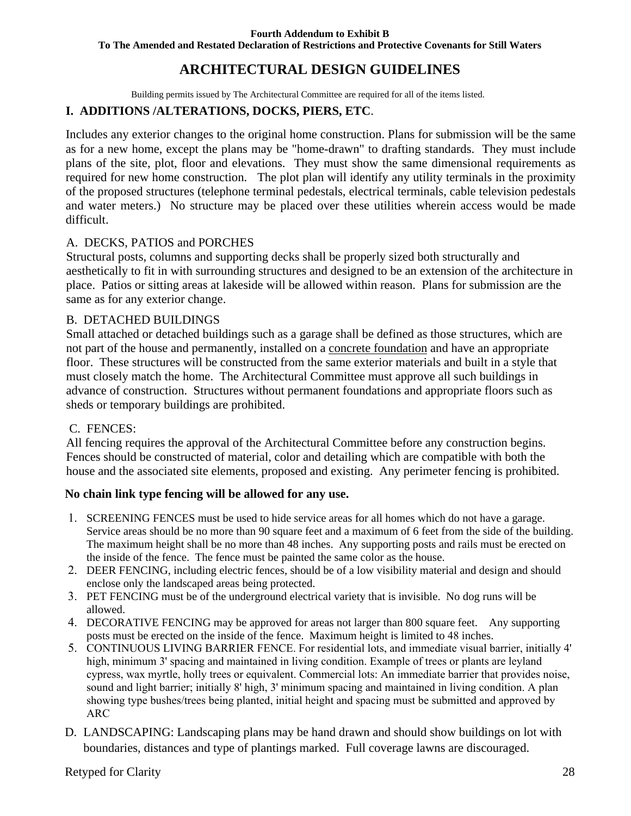# **ARCHITECTURAL DESIGN GUIDELINES**

Building permits issued by The Architectural Committee are required for all of the items listed.

## **I. ADDITIONS /ALTERATIONS, DOCKS, PIERS, ETC**.

Includes any exterior changes to the original home construction. Plans for submission will be the same as for a new home, except the plans may be "home-drawn" to drafting standards. They must include plans of the site, plot, floor and elevations. They must show the same dimensional requirements as required for new home construction. The plot plan will identify any utility terminals in the proximity of the proposed structures (telephone terminal pedestals, electrical terminals, cable television pedestals and water meters.) No structure may be placed over these utilities wherein access would be made difficult.

## A. DECKS, PATIOS and PORCHES

Structural posts, columns and supporting decks shall be properly sized both structurally and aesthetically to fit in with surrounding structures and designed to be an extension of the architecture in place. Patios or sitting areas at lakeside will be allowed within reason. Plans for submission are the same as for any exterior change.

# B. DETACHED BUILDINGS

Small attached or detached buildings such as a garage shall be defined as those structures, which are not part of the house and permanently, installed on a concrete foundation and have an appropriate floor. These structures will be constructed from the same exterior materials and built in a style that must closely match the home. The Architectural Committee must approve all such buildings in advance of construction. Structures without permanent foundations and appropriate floors such as sheds or temporary buildings are prohibited.

## C. FENCES:

All fencing requires the approval of the Architectural Committee before any construction begins. Fences should be constructed of material, color and detailing which are compatible with both the house and the associated site elements, proposed and existing. Any perimeter fencing is prohibited.

## **No chain link type fencing will be allowed for any use.**

- 1. SCREENING FENCES must be used to hide service areas for all homes which do not have a garage. Service areas should be no more than 90 square feet and a maximum of 6 feet from the side of the building. The maximum height shall be no more than 48 inches. Any supporting posts and rails must be erected on the inside of the fence. The fence must be painted the same color as the house.
- 2. DEER FENCING, including electric fences, should be of a low visibility material and design and should enclose only the landscaped areas being protected.
- 3. PET FENCING must be of the underground electrical variety that is invisible. No dog runs will be allowed.
- 4. DECORATIVE FENCING may be approved for areas not larger than 800 square feet. Any supporting posts must be erected on the inside of the fence. Maximum height is limited to 48 inches.
- 5. CONTINUOUS LIVING BARRIER FENCE. For residential lots, and immediate visual barrier, initially 4' high, minimum 3' spacing and maintained in living condition. Example of trees or plants are leyland cypress, wax myrtle, holly trees or equivalent. Commercial lots: An immediate barrier that provides noise, sound and light barrier; initially 8' high, 3' minimum spacing and maintained in living condition. A plan showing type bushes/trees being planted, initial height and spacing must be submitted and approved by ARC
- D. LANDSCAPING: Landscaping plans may be hand drawn and should show buildings on lot with boundaries, distances and type of plantings marked. Full coverage lawns are discouraged.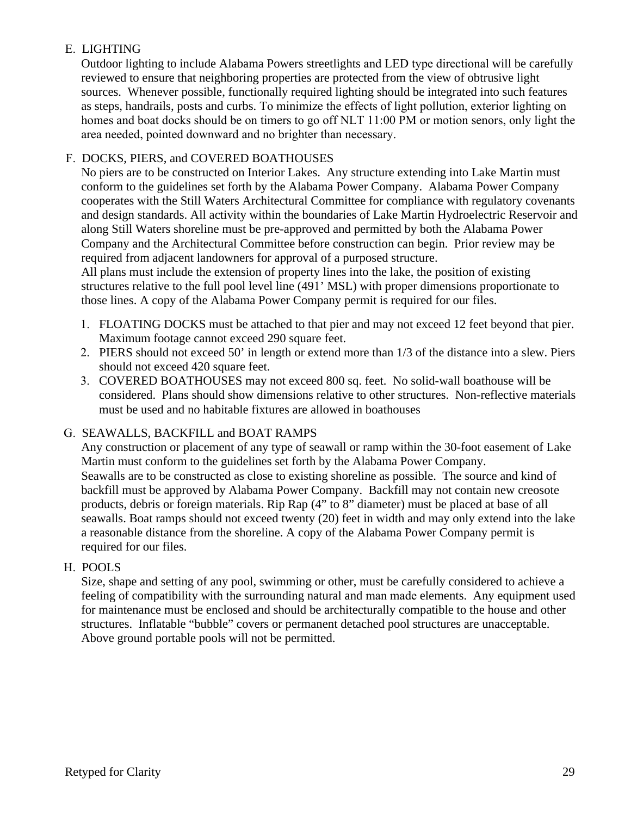# E. LIGHTING

Outdoor lighting to include Alabama Powers streetlights and LED type directional will be carefully reviewed to ensure that neighboring properties are protected from the view of obtrusive light sources. Whenever possible, functionally required lighting should be integrated into such features as steps, handrails, posts and curbs. To minimize the effects of light pollution, exterior lighting on homes and boat docks should be on timers to go off NLT 11:00 PM or motion senors, only light the area needed, pointed downward and no brighter than necessary.

# F. DOCKS, PIERS, and COVERED BOATHOUSES

No piers are to be constructed on Interior Lakes. Any structure extending into Lake Martin must conform to the guidelines set forth by the Alabama Power Company. Alabama Power Company cooperates with the Still Waters Architectural Committee for compliance with regulatory covenants and design standards. All activity within the boundaries of Lake Martin Hydroelectric Reservoir and along Still Waters shoreline must be pre-approved and permitted by both the Alabama Power Company and the Architectural Committee before construction can begin. Prior review may be required from adjacent landowners for approval of a purposed structure.

All plans must include the extension of property lines into the lake, the position of existing structures relative to the full pool level line (491' MSL) with proper dimensions proportionate to those lines. A copy of the Alabama Power Company permit is required for our files.

- 1. FLOATING DOCKS must be attached to that pier and may not exceed 12 feet beyond that pier. Maximum footage cannot exceed 290 square feet.
- 2. PIERS should not exceed 50' in length or extend more than 1/3 of the distance into a slew. Piers should not exceed 420 square feet.
- 3. COVERED BOATHOUSES may not exceed 800 sq. feet. No solid-wall boathouse will be considered. Plans should show dimensions relative to other structures. Non-reflective materials must be used and no habitable fixtures are allowed in boathouses

# G. SEAWALLS, BACKFILL and BOAT RAMPS

Any construction or placement of any type of seawall or ramp within the 30-foot easement of Lake Martin must conform to the guidelines set forth by the Alabama Power Company. Seawalls are to be constructed as close to existing shoreline as possible. The source and kind of backfill must be approved by Alabama Power Company. Backfill may not contain new creosote products, debris or foreign materials. Rip Rap (4" to 8" diameter) must be placed at base of all seawalls. Boat ramps should not exceed twenty (20) feet in width and may only extend into the lake a reasonable distance from the shoreline. A copy of the Alabama Power Company permit is required for our files.

## H. POOLS

Size, shape and setting of any pool, swimming or other, must be carefully considered to achieve a feeling of compatibility with the surrounding natural and man made elements. Any equipment used for maintenance must be enclosed and should be architecturally compatible to the house and other structures. Inflatable "bubble" covers or permanent detached pool structures are unacceptable. Above ground portable pools will not be permitted.